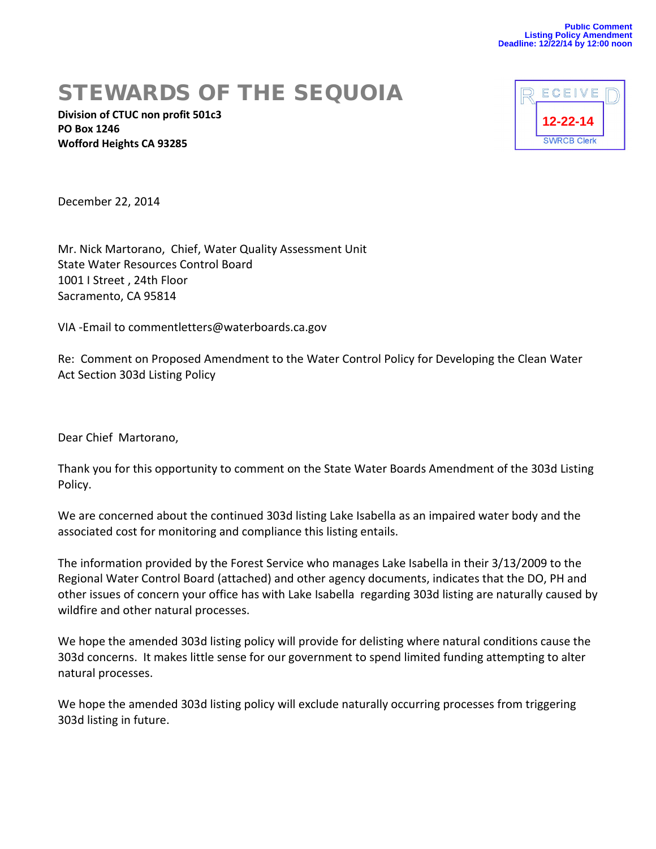# STEWARDS OF THE SEQUOIA

**Division of CTUC non profit 501c3 PO Box 1246 Wofford Heights CA 93285**



December 22, 2014

Mr. Nick Martorano, Chief, Water Quality Assessment Unit State Water Resources Control Board 1001 I Street , 24th Floor Sacramento, CA 95814

VIA -Email to commentletters@waterboards.ca.gov

Re: Comment on Proposed Amendment to the Water Control Policy for Developing the Clean Water Act Section 303d Listing Policy

Dear Chief Martorano,

Thank you for this opportunity to comment on the State Water Boards Amendment of the 303d Listing Policy.

We are concerned about the continued 303d listing Lake Isabella as an impaired water body and the associated cost for monitoring and compliance this listing entails.

The information provided by the Forest Service who manages Lake Isabella in their 3/13/2009 to the Regional Water Control Board (attached) and other agency documents, indicates that the DO, PH and other issues of concern your office has with Lake Isabella regarding 303d listing are naturally caused by wildfire and other natural processes.

We hope the amended 303d listing policy will provide for delisting where natural conditions cause the 303d concerns. It makes little sense for our government to spend limited funding attempting to alter natural processes.

We hope the amended 303d listing policy will exclude naturally occurring processes from triggering 303d listing in future.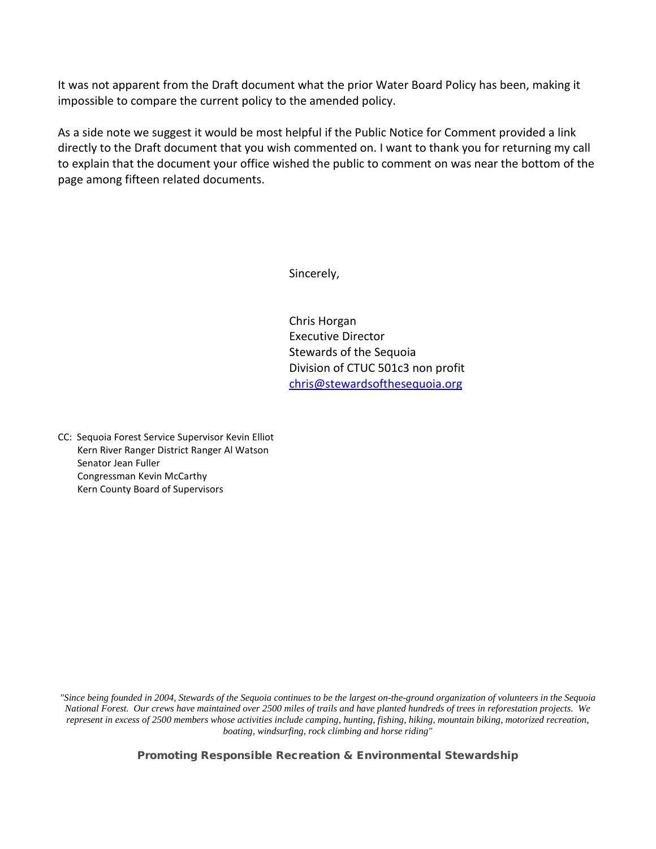It was not apparent from the Draft document what the prior Water Board Policy has been, making it impossible to compare the current policy to the amended policy.

As a side note we suggest it would be most helpful if the Public Notice for Comment provided a link directly to the Draft document that you wish commented on. I want to thank you for returning my call to explain that the document your office wished the public to comment on was near the bottom of the page among fifteen related documents.

Sincerely,

Chris Horgan Executive Director Stewards of the Sequoia Division of CTUC 501c3 non profit [chris@stewardsofthesequoia.org](mailto:chris@stewardsofthesequoia.org)

CC: Sequoia Forest Service Supervisor Kevin Elliot Kern River Ranger District Ranger Al Watson Senator Jean Fuller Congressman Kevin McCarthy Kern County Board of Supervisors

*"Since being founded in 2004, Stewards of the Sequoia continues to be the largest on-the-ground organization of volunteers in the Sequoia National Forest. Our crews have maintained over 2500 miles of trails and have planted hundreds of trees in reforestation projects. We represent in excess of 2500 members whose activities include camping, hunting, fishing, hiking, mountain biking, motorized recreation, boating, windsurfing, rock climbing and horse riding"*

Promoting Responsible Recreation & Environmental Stewardship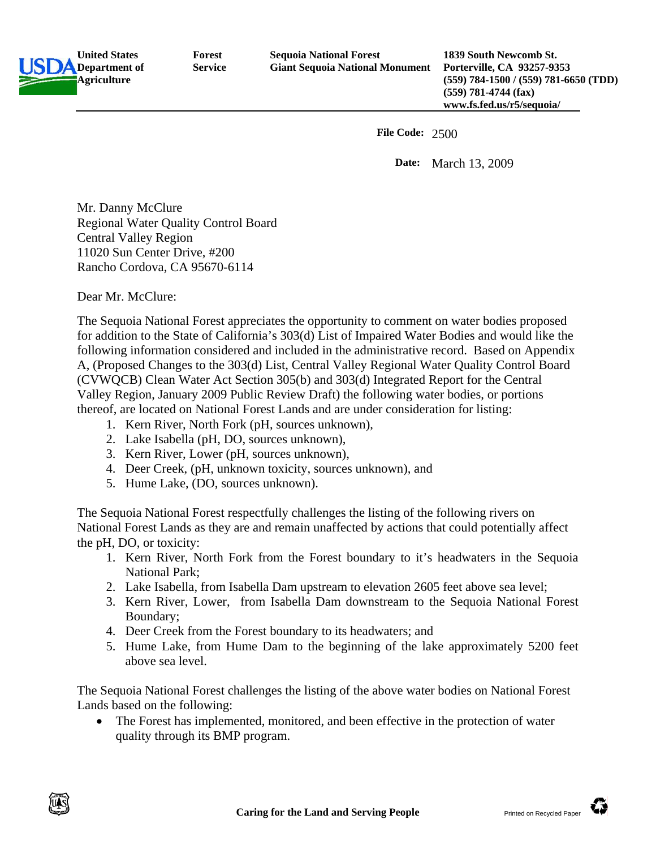**United States Department of Agriculture Forest Service** 

**1839 South Newcomb St. Porterville, CA 93257-9353 (559) 784-1500 / (559) 781-6650 (TDD) (559) 781-4744 (fax) www.fs.fed.us/r5/sequoia/**

**File Code:** 2500

 **Date:** March 13, 2009

Mr. Danny McClure Regional Water Quality Control Board Central Valley Region 11020 Sun Center Drive, #200 Rancho Cordova, CA 95670-6114

Dear Mr. McClure:

The Sequoia National Forest appreciates the opportunity to comment on water bodies proposed for addition to the State of California's 303(d) List of Impaired Water Bodies and would like the following information considered and included in the administrative record. Based on Appendix A, (Proposed Changes to the 303(d) List, Central Valley Regional Water Quality Control Board (CVWQCB) Clean Water Act Section 305(b) and 303(d) Integrated Report for the Central Valley Region, January 2009 Public Review Draft) the following water bodies, or portions thereof, are located on National Forest Lands and are under consideration for listing:

- 1. Kern River, North Fork (pH, sources unknown),
- 2. Lake Isabella (pH, DO, sources unknown),
- 3. Kern River, Lower (pH, sources unknown),
- 4. Deer Creek, (pH, unknown toxicity, sources unknown), and
- 5. Hume Lake, (DO, sources unknown).

The Sequoia National Forest respectfully challenges the listing of the following rivers on National Forest Lands as they are and remain unaffected by actions that could potentially affect the pH, DO, or toxicity:

- 1. Kern River, North Fork from the Forest boundary to it's headwaters in the Sequoia National Park;
- 2. Lake Isabella, from Isabella Dam upstream to elevation 2605 feet above sea level;
- 3. Kern River, Lower, from Isabella Dam downstream to the Sequoia National Forest Boundary;
- 4. Deer Creek from the Forest boundary to its headwaters; and
- 5. Hume Lake, from Hume Dam to the beginning of the lake approximately 5200 feet above sea level.

The Sequoia National Forest challenges the listing of the above water bodies on National Forest Lands based on the following:

• The Forest has implemented, monitored, and been effective in the protection of water quality through its BMP program.

Û

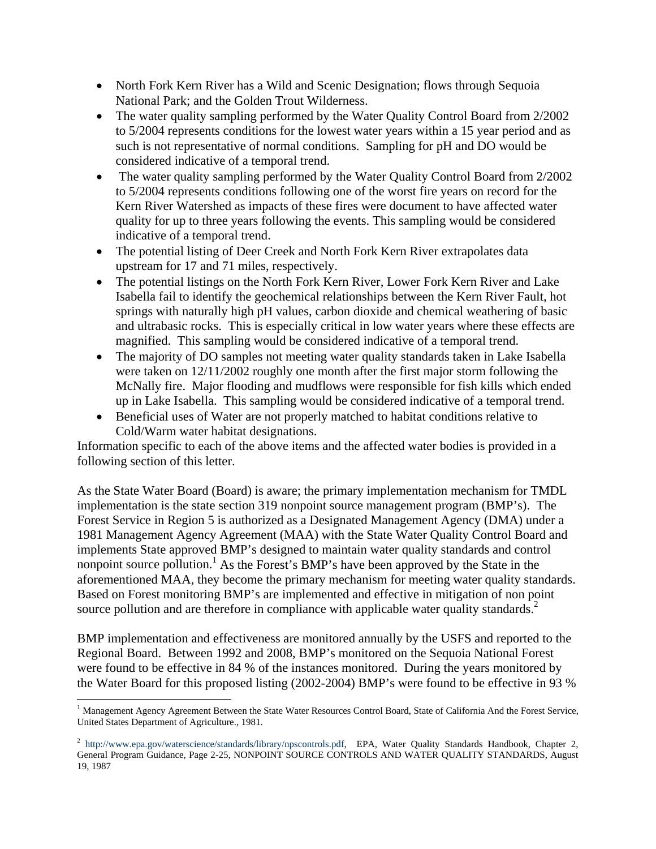- North Fork Kern River has a Wild and Scenic Designation; flows through Sequoia National Park; and the Golden Trout Wilderness.
- The water quality sampling performed by the Water Quality Control Board from 2/2002 to 5/2004 represents conditions for the lowest water years within a 15 year period and as such is not representative of normal conditions. Sampling for pH and DO would be considered indicative of a temporal trend.
- The water quality sampling performed by the Water Quality Control Board from 2/2002 to 5/2004 represents conditions following one of the worst fire years on record for the Kern River Watershed as impacts of these fires were document to have affected water quality for up to three years following the events. This sampling would be considered indicative of a temporal trend.
- The potential listing of Deer Creek and North Fork Kern River extrapolates data upstream for 17 and 71 miles, respectively.
- The potential listings on the North Fork Kern River, Lower Fork Kern River and Lake Isabella fail to identify the geochemical relationships between the Kern River Fault, hot springs with naturally high pH values, carbon dioxide and chemical weathering of basic and ultrabasic rocks. This is especially critical in low water years where these effects are magnified. This sampling would be considered indicative of a temporal trend.
- The majority of DO samples not meeting water quality standards taken in Lake Isabella were taken on 12/11/2002 roughly one month after the first major storm following the McNally fire. Major flooding and mudflows were responsible for fish kills which ended up in Lake Isabella. This sampling would be considered indicative of a temporal trend.
- Beneficial uses of Water are not properly matched to habitat conditions relative to Cold/Warm water habitat designations.

Information specific to each of the above items and the affected water bodies is provided in a following section of this letter.

As the State Water Board (Board) is aware; the primary implementation mechanism for TMDL implementation is the state section 319 nonpoint source management program (BMP's). The Forest Service in Region 5 is authorized as a Designated Management Agency (DMA) under a 1981 Management Agency Agreement (MAA) with the State Water Quality Control Board and implements State approved BMP's designed to maintain water quality standards and control nonpoint source pollution.<sup>1</sup> As the Forest's BMP's have been approved by the State in the aforementioned MAA, they become the primary mechanism for meeting water quality standards. Based on Forest monitoring BMP's are implemented and effective in mitigation of non point source pollution and are therefore in compliance with applicable water quality standards.<sup>2</sup>

BMP implementation and effectiveness are monitored annually by the USFS and reported to the Regional Board. Between 1992 and 2008, BMP's monitored on the Sequoia National Forest were found to be effective in 84 % of the instances monitored. During the years monitored by the Water Board for this proposed listing (2002-2004) BMP's were found to be effective in 93 %

1

<sup>&</sup>lt;sup>1</sup> Management Agency Agreement Between the State Water Resources Control Board, State of California And the Forest Service, United States Department of Agriculture., 1981.

<sup>&</sup>lt;sup>2</sup> http://www.epa.gov/waterscience/standards/library/npscontrols.pdf, EPA, Water Quality Standards Handbook, Chapter 2, General Program Guidance, Page 2-25, NONPOINT SOURCE CONTROLS AND WATER QUALITY STANDARDS, August 19, 1987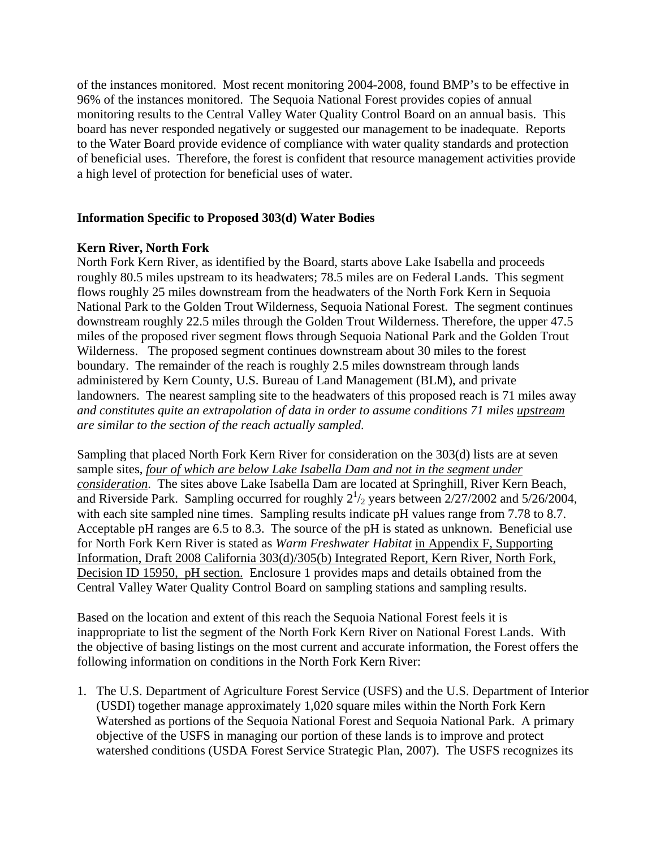of the instances monitored. Most recent monitoring 2004-2008, found BMP's to be effective in 96% of the instances monitored. The Sequoia National Forest provides copies of annual monitoring results to the Central Valley Water Quality Control Board on an annual basis. This board has never responded negatively or suggested our management to be inadequate. Reports to the Water Board provide evidence of compliance with water quality standards and protection of beneficial uses. Therefore, the forest is confident that resource management activities provide a high level of protection for beneficial uses of water.

## **Information Specific to Proposed 303(d) Water Bodies**

## **Kern River, North Fork**

North Fork Kern River, as identified by the Board, starts above Lake Isabella and proceeds roughly 80.5 miles upstream to its headwaters; 78.5 miles are on Federal Lands. This segment flows roughly 25 miles downstream from the headwaters of the North Fork Kern in Sequoia National Park to the Golden Trout Wilderness, Sequoia National Forest. The segment continues downstream roughly 22.5 miles through the Golden Trout Wilderness. Therefore, the upper 47.5 miles of the proposed river segment flows through Sequoia National Park and the Golden Trout Wilderness. The proposed segment continues downstream about 30 miles to the forest boundary. The remainder of the reach is roughly 2.5 miles downstream through lands administered by Kern County, U.S. Bureau of Land Management (BLM), and private landowners. The nearest sampling site to the headwaters of this proposed reach is 71 miles away *and constitutes quite an extrapolation of data in order to assume conditions 71 miles upstream are similar to the section of the reach actually sampled*.

Sampling that placed North Fork Kern River for consideration on the 303(d) lists are at seven sample sites, *four of which are below Lake Isabella Dam and not in the segment under consideration*. The sites above Lake Isabella Dam are located at Springhill, River Kern Beach, and Riverside Park. Sampling occurred for roughly  $2^{1/2}$  years between  $2/27/2002$  and  $5/26/2004$ , with each site sampled nine times. Sampling results indicate pH values range from 7.78 to 8.7. Acceptable pH ranges are 6.5 to 8.3. The source of the pH is stated as unknown. Beneficial use for North Fork Kern River is stated as *Warm Freshwater Habitat* in Appendix F, Supporting Information, Draft 2008 California 303(d)/305(b) Integrated Report, Kern River, North Fork, Decision ID 15950, pH section. Enclosure 1 provides maps and details obtained from the Central Valley Water Quality Control Board on sampling stations and sampling results.

Based on the location and extent of this reach the Sequoia National Forest feels it is inappropriate to list the segment of the North Fork Kern River on National Forest Lands. With the objective of basing listings on the most current and accurate information, the Forest offers the following information on conditions in the North Fork Kern River:

1. The U.S. Department of Agriculture Forest Service (USFS) and the U.S. Department of Interior (USDI) together manage approximately 1,020 square miles within the North Fork Kern Watershed as portions of the Sequoia National Forest and Sequoia National Park. A primary objective of the USFS in managing our portion of these lands is to improve and protect watershed conditions (USDA Forest Service Strategic Plan, 2007). The USFS recognizes its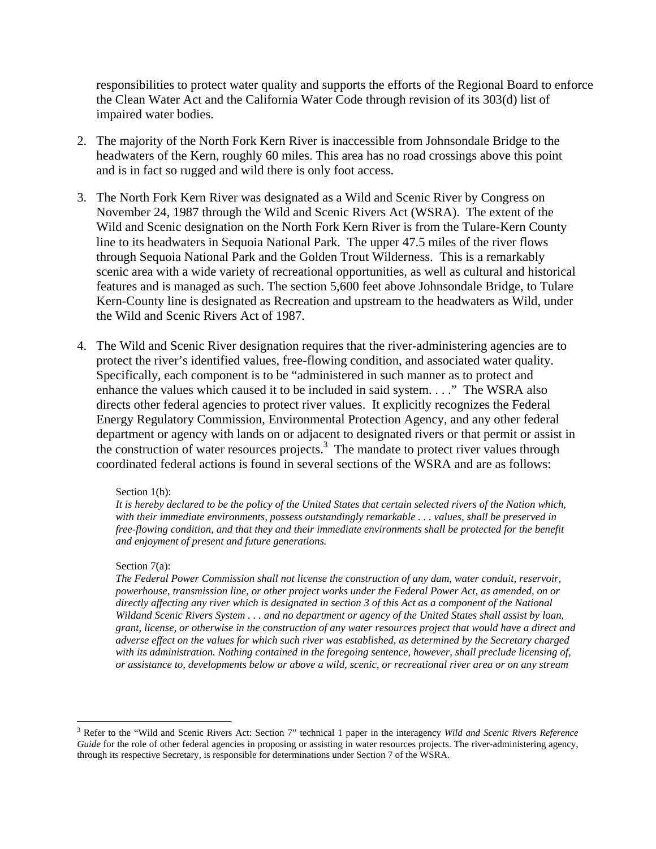responsibilities to protect water quality and supports the efforts of the Regional Board to enforce the Clean Water Act and the California Water Code through revision of its 303(d) list of impaired water bodies.

- 2. The majority of the North Fork Kern River is inaccessible from Johnsondale Bridge to the headwaters of the Kern, roughly 60 miles. This area has no road crossings above this point and is in fact so rugged and wild there is only foot access.
- 3. The North Fork Kern River was designated as a Wild and Scenic River by Congress on November 24, 1987 through the Wild and Scenic Rivers Act (WSRA). The extent of the Wild and Scenic designation on the North Fork Kern River is from the Tulare-Kern County line to its headwaters in Sequoia National Park. The upper 47.5 miles of the river flows through Sequoia National Park and the Golden Trout Wilderness. This is a remarkably scenic area with a wide variety of recreational opportunities, as well as cultural and historical features and is managed as such. The section 5,600 feet above Johnsondale Bridge, to Tulare Kern-County line is designated as Recreation and upstream to the headwaters as Wild, under the Wild and Scenic Rivers Act of 1987.
- 4. The Wild and Scenic River designation requires that the river-administering agencies are to protect the river's identified values, free-flowing condition, and associated water quality. Specifically, each component is to be "administered in such manner as to protect and enhance the values which caused it to be included in said system. . . ." The WSRA also directs other federal agencies to protect river values. It explicitly recognizes the Federal Energy Regulatory Commission, Environmental Protection Agency, and any other federal department or agency with lands on or adjacent to designated rivers or that permit or assist in the construction of water resources projects.<sup>3</sup> The mandate to protect river values through coordinated federal actions is found in several sections of the WSRA and are as follows:

#### Section 1(b):

*It is hereby declared to be the policy of the United States that certain selected rivers of the Nation which, with their immediate environments, possess outstandingly remarkable . . . values, shall be preserved in free-flowing condition, and that they and their immediate environments shall be protected for the benefit and enjoyment of present and future generations.* 

#### Section 7(a):

 $\overline{a}$ 

*The Federal Power Commission shall not license the construction of any dam, water conduit, reservoir, powerhouse, transmission line, or other project works under the Federal Power Act, as amended, on or directly affecting any river which is designated in section 3 of this Act as a component of the National Wildand Scenic Rivers System . . . and no department or agency of the United States shall assist by loan, grant, license, or otherwise in the construction of any water resources project that would have a direct and adverse effect on the values for which such river was established, as determined by the Secretary charged with its administration. Nothing contained in the foregoing sentence, however, shall preclude licensing of, or assistance to, developments below or above a wild, scenic, or recreational river area or on any stream* 

<sup>3</sup> Refer to the "Wild and Scenic Rivers Act: Section 7" technical 1 paper in the interagency *Wild and Scenic Rivers Reference Guide* for the role of other federal agencies in proposing or assisting in water resources projects. The river-administering agency, through its respective Secretary, is responsible for determinations under Section 7 of the WSRA.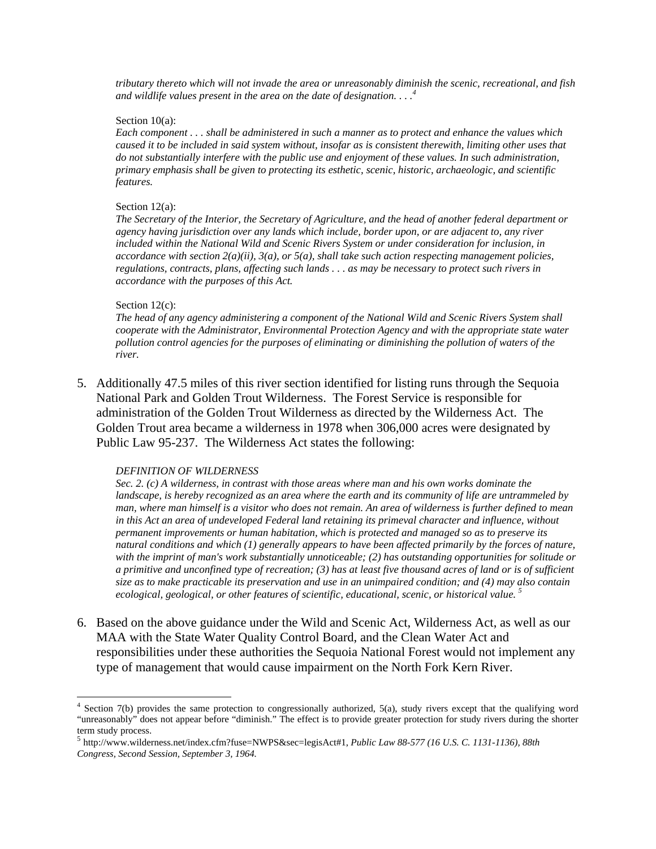*tributary thereto which will not invade the area or unreasonably diminish the scenic, recreational, and fish and wildlife values present in the area on the date of designation. . . .4*

#### Section 10(a):

*Each component . . . shall be administered in such a manner as to protect and enhance the values which caused it to be included in said system without, insofar as is consistent therewith, limiting other uses that do not substantially interfere with the public use and enjoyment of these values. In such administration, primary emphasis shall be given to protecting its esthetic, scenic, historic, archaeologic, and scientific features.* 

#### Section 12(a):

*The Secretary of the Interior, the Secretary of Agriculture, and the head of another federal department or agency having jurisdiction over any lands which include, border upon, or are adjacent to, any river included within the National Wild and Scenic Rivers System or under consideration for inclusion, in accordance with section 2(a)(ii), 3(a), or 5(a), shall take such action respecting management policies, regulations, contracts, plans, affecting such lands . . . as may be necessary to protect such rivers in accordance with the purposes of this Act.* 

#### Section 12(c):

*The head of any agency administering a component of the National Wild and Scenic Rivers System shall cooperate with the Administrator, Environmental Protection Agency and with the appropriate state water pollution control agencies for the purposes of eliminating or diminishing the pollution of waters of the river.* 

5. Additionally 47.5 miles of this river section identified for listing runs through the Sequoia National Park and Golden Trout Wilderness. The Forest Service is responsible for administration of the Golden Trout Wilderness as directed by the Wilderness Act. The Golden Trout area became a wilderness in 1978 when 306,000 acres were designated by Public Law 95-237. The Wilderness Act states the following:

## *DEFINITION OF WILDERNESS*

*Sec. 2. (c) A wilderness, in contrast with those areas where man and his own works dominate the landscape, is hereby recognized as an area where the earth and its community of life are untrammeled by man, where man himself is a visitor who does not remain. An area of wilderness is further defined to mean in this Act an area of undeveloped Federal land retaining its primeval character and influence, without permanent improvements or human habitation, which is protected and managed so as to preserve its natural conditions and which (1) generally appears to have been affected primarily by the forces of nature, with the imprint of man's work substantially unnoticeable; (2) has outstanding opportunities for solitude or a primitive and unconfined type of recreation; (3) has at least five thousand acres of land or is of sufficient size as to make practicable its preservation and use in an unimpaired condition; and (4) may also contain ecological, geological, or other features of scientific, educational, scenic, or historical value. 5*

6. Based on the above guidance under the Wild and Scenic Act, Wilderness Act, as well as our MAA with the State Water Quality Control Board, and the Clean Water Act and responsibilities under these authorities the Sequoia National Forest would not implement any type of management that would cause impairment on the North Fork Kern River.

<sup>4&</sup>lt;br>
<sup>4</sup> Section 7(b) provides the same protection to congressionally authorized, 5(a), study rivers except that the qualifying word "unreasonably" does not appear before "diminish." The effect is to provide greater protection for study rivers during the shorter term study process.

<sup>5</sup> http://www.wilderness.net/index.cfm?fuse=NWPS&sec=legisAct#1, *Public Law 88-577 (16 U.S. C. 1131-1136), 88th Congress, Second Session, September 3, 1964.*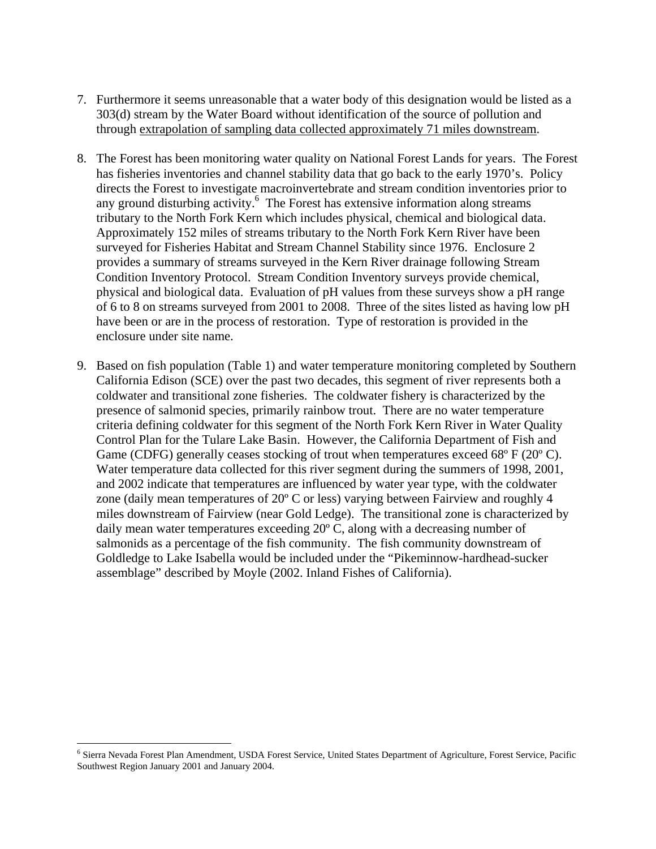- 7. Furthermore it seems unreasonable that a water body of this designation would be listed as a 303(d) stream by the Water Board without identification of the source of pollution and through extrapolation of sampling data collected approximately 71 miles downstream.
- 8. The Forest has been monitoring water quality on National Forest Lands for years. The Forest has fisheries inventories and channel stability data that go back to the early 1970's. Policy directs the Forest to investigate macroinvertebrate and stream condition inventories prior to any ground disturbing activity.<sup>6</sup> The Forest has extensive information along streams tributary to the North Fork Kern which includes physical, chemical and biological data. Approximately 152 miles of streams tributary to the North Fork Kern River have been surveyed for Fisheries Habitat and Stream Channel Stability since 1976. Enclosure 2 provides a summary of streams surveyed in the Kern River drainage following Stream Condition Inventory Protocol. Stream Condition Inventory surveys provide chemical, physical and biological data. Evaluation of pH values from these surveys show a pH range of 6 to 8 on streams surveyed from 2001 to 2008. Three of the sites listed as having low pH have been or are in the process of restoration. Type of restoration is provided in the enclosure under site name.
- 9. Based on fish population (Table 1) and water temperature monitoring completed by Southern California Edison (SCE) over the past two decades, this segment of river represents both a coldwater and transitional zone fisheries. The coldwater fishery is characterized by the presence of salmonid species, primarily rainbow trout. There are no water temperature criteria defining coldwater for this segment of the North Fork Kern River in Water Quality Control Plan for the Tulare Lake Basin. However, the California Department of Fish and Game (CDFG) generally ceases stocking of trout when temperatures exceed  $68^{\circ}$  F ( $20^{\circ}$  C). Water temperature data collected for this river segment during the summers of 1998, 2001, and 2002 indicate that temperatures are influenced by water year type, with the coldwater zone (daily mean temperatures of 20º C or less) varying between Fairview and roughly 4 miles downstream of Fairview (near Gold Ledge). The transitional zone is characterized by daily mean water temperatures exceeding 20º C, along with a decreasing number of salmonids as a percentage of the fish community. The fish community downstream of Goldledge to Lake Isabella would be included under the "Pikeminnow-hardhead-sucker assemblage" described by Moyle (2002. Inland Fishes of California).

1

<sup>&</sup>lt;sup>6</sup> Sierra Nevada Forest Plan Amendment, USDA Forest Service, United States Department of Agriculture, Forest Service, Pacific Southwest Region January 2001 and January 2004.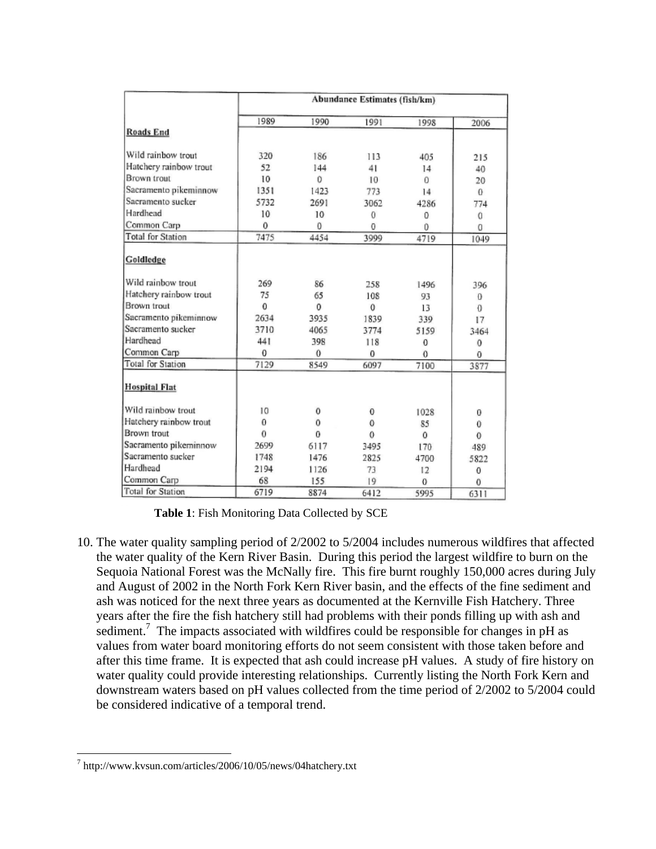|                          | Abundance Estimates (fish/km) |      |              |          |          |  |  |
|--------------------------|-------------------------------|------|--------------|----------|----------|--|--|
|                          | 1989                          | 1990 | 1991         | 1998     | 2006     |  |  |
| <b>Roads End</b>         |                               |      |              |          |          |  |  |
| Wild rainbow trout       | 320                           | 186  | 113          | 405      | 215      |  |  |
| Hatchery rainbow trout   | 52                            | 144  | 41           | 14       | 40       |  |  |
| Brown trout              | 10                            | 0    | 10           | 0        | 20       |  |  |
| Sacramento pikeminnow    | 1351                          | 1423 | 773          | 14       | $^{0}$   |  |  |
| Sacramento sucker        | 5732                          | 2691 | 3062         | 4286     | 774      |  |  |
| Hardhead                 | 10                            | 10   | 0            | 0        | 0        |  |  |
| Common Carp              | 0                             | 0    | 0            | 0        | 0        |  |  |
| <b>Total for Station</b> | 7475                          | 4454 | 3999         | 4719     | 1049     |  |  |
| Goldledge                |                               |      |              |          |          |  |  |
| Wild rainbow trout       | 269                           | 86   | 258          | 1496     | 396      |  |  |
| Hatchery rainbow trout   | 75                            | 65   | 108          | 93       | $\Omega$ |  |  |
| Brown trout              | 0                             | 0    | $\mathbf{0}$ | 13       | $\theta$ |  |  |
| Sacramento pikeminnow    | 2634                          | 3935 | 1839         | 339      | 17       |  |  |
| Sacramento sucker        | 3710                          | 4065 | 3774         | 5159     | 3464     |  |  |
| Hardhead                 | 441                           | 398  | 118          | 0        | 0        |  |  |
| Common Carp              | 0                             | 0    | 0            | $\bf{0}$ | 0        |  |  |
| Total for Station        | 7129                          | 8549 | 6097         | 7100     | 3877     |  |  |
| <b>Hospital Flat</b>     |                               |      |              |          |          |  |  |
| Wild rainbow trout       | 10                            | 0    | $\bf{0}$     | 1028     | 0        |  |  |
| Hatchery rainbow trout   | $\theta$                      | 0    | 0            | 85       | 0        |  |  |
| Brown trout              | 0                             | 0    | $\mathbf 0$  | 0        | $\theta$ |  |  |
| Sacramento pikeminnow    | 2699                          | 6117 | 3495         | 170      | 489      |  |  |
| Sacramento sucker        | 1748                          | 1476 | 2825         | 4700     | 5822     |  |  |
| Hardhead                 | 2194                          | 1126 | 73           | 12       | 0        |  |  |
| Common Carp              | 68                            | 155  | 19           | $\Omega$ | 0        |  |  |
| <b>Total for Station</b> | 6719                          | 8874 | 6412         | 5995     | 6311     |  |  |

**Table 1**: Fish Monitoring Data Collected by SCE

10. The water quality sampling period of 2/2002 to 5/2004 includes numerous wildfires that affected the water quality of the Kern River Basin. During this period the largest wildfire to burn on the Sequoia National Forest was the McNally fire. This fire burnt roughly 150,000 acres during July and August of 2002 in the North Fork Kern River basin, and the effects of the fine sediment and ash was noticed for the next three years as documented at the Kernville Fish Hatchery. Three years after the fire the fish hatchery still had problems with their ponds filling up with ash and sediment.<sup>7</sup> The impacts associated with wildfires could be responsible for changes in pH as values from water board monitoring efforts do not seem consistent with those taken before and after this time frame. It is expected that ash could increase pH values. A study of fire history on water quality could provide interesting relationships. Currently listing the North Fork Kern and downstream waters based on pH values collected from the time period of 2/2002 to 5/2004 could be considered indicative of a temporal trend.

 $\overline{a}$ 

<sup>7</sup> http://www.kvsun.com/articles/2006/10/05/news/04hatchery.txt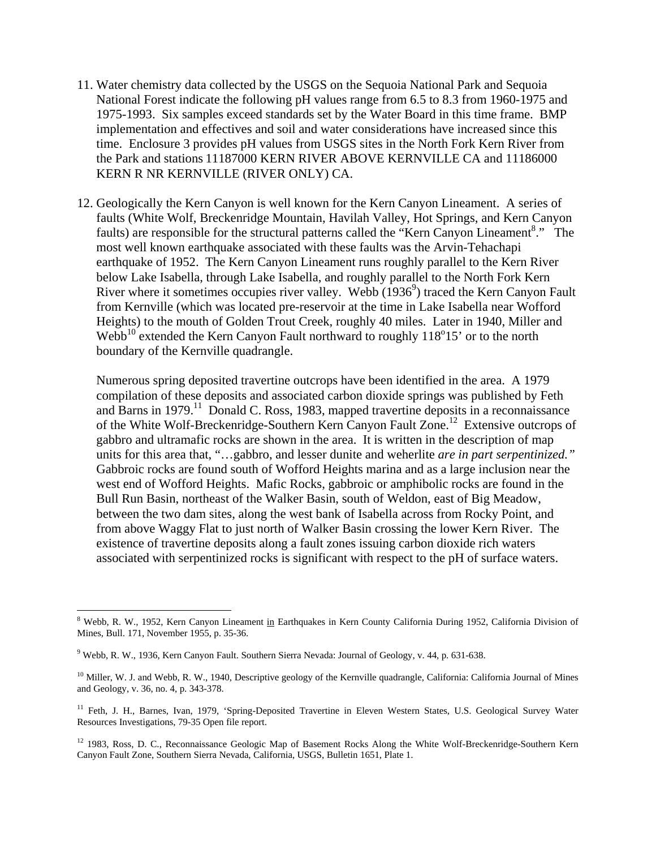- 11. Water chemistry data collected by the USGS on the Sequoia National Park and Sequoia National Forest indicate the following pH values range from 6.5 to 8.3 from 1960-1975 and 1975-1993. Six samples exceed standards set by the Water Board in this time frame. BMP implementation and effectives and soil and water considerations have increased since this time. Enclosure 3 provides pH values from USGS sites in the North Fork Kern River from the Park and stations 11187000 KERN RIVER ABOVE KERNVILLE CA and 11186000 KERN R NR KERNVILLE (RIVER ONLY) CA.
- 12. Geologically the Kern Canyon is well known for the Kern Canyon Lineament. A series of faults (White Wolf, Breckenridge Mountain, Havilah Valley, Hot Springs, and Kern Canyon faults) are responsible for the structural patterns called the "Kern Canyon Lineament<sup>8</sup>." The most well known earthquake associated with these faults was the Arvin-Tehachapi earthquake of 1952. The Kern Canyon Lineament runs roughly parallel to the Kern River below Lake Isabella, through Lake Isabella, and roughly parallel to the North Fork Kern River where it sometimes occupies river valley. Webb  $(1936<sup>9</sup>)$  traced the Kern Canyon Fault from Kernville (which was located pre-reservoir at the time in Lake Isabella near Wofford Heights) to the mouth of Golden Trout Creek, roughly 40 miles. Later in 1940, Miller and Webb<sup>10</sup> extended the Kern Canyon Fault northward to roughly  $118^{\circ}15'$  or to the north boundary of the Kernville quadrangle.

Numerous spring deposited travertine outcrops have been identified in the area. A 1979 compilation of these deposits and associated carbon dioxide springs was published by Feth and Barns in 1979.<sup>11</sup> Donald C. Ross, 1983, mapped travertine deposits in a reconnaissance of the White Wolf-Breckenridge-Southern Kern Canyon Fault Zone.12 Extensive outcrops of gabbro and ultramafic rocks are shown in the area. It is written in the description of map units for this area that, "…gabbro, and lesser dunite and weherlite *are in part serpentinized."* Gabbroic rocks are found south of Wofford Heights marina and as a large inclusion near the west end of Wofford Heights. Mafic Rocks, gabbroic or amphibolic rocks are found in the Bull Run Basin, northeast of the Walker Basin, south of Weldon, east of Big Meadow, between the two dam sites, along the west bank of Isabella across from Rocky Point, and from above Waggy Flat to just north of Walker Basin crossing the lower Kern River. The existence of travertine deposits along a fault zones issuing carbon dioxide rich waters associated with serpentinized rocks is significant with respect to the pH of surface waters.

1

<sup>&</sup>lt;sup>8</sup> Webb, R. W., 1952, Kern Canyon Lineament in Earthquakes in Kern County California During 1952, California Division of Mines, Bull. 171, November 1955, p. 35-36.

<sup>9</sup> Webb, R. W., 1936, Kern Canyon Fault. Southern Sierra Nevada: Journal of Geology, v. 44, p. 631-638.

<sup>&</sup>lt;sup>10</sup> Miller, W. J. and Webb, R. W., 1940, Descriptive geology of the Kernville quadrangle, California: California Journal of Mines and Geology, v. 36, no. 4, p. 343-378.

<sup>&</sup>lt;sup>11</sup> Feth, J. H., Barnes, Ivan, 1979, 'Spring-Deposited Travertine in Eleven Western States, U.S. Geological Survey Water Resources Investigations, 79-35 Open file report.

<sup>&</sup>lt;sup>12</sup> 1983, Ross, D. C., Reconnaissance Geologic Map of Basement Rocks Along the White Wolf-Breckenridge-Southern Kern Canyon Fault Zone, Southern Sierra Nevada, California, USGS, Bulletin 1651, Plate 1.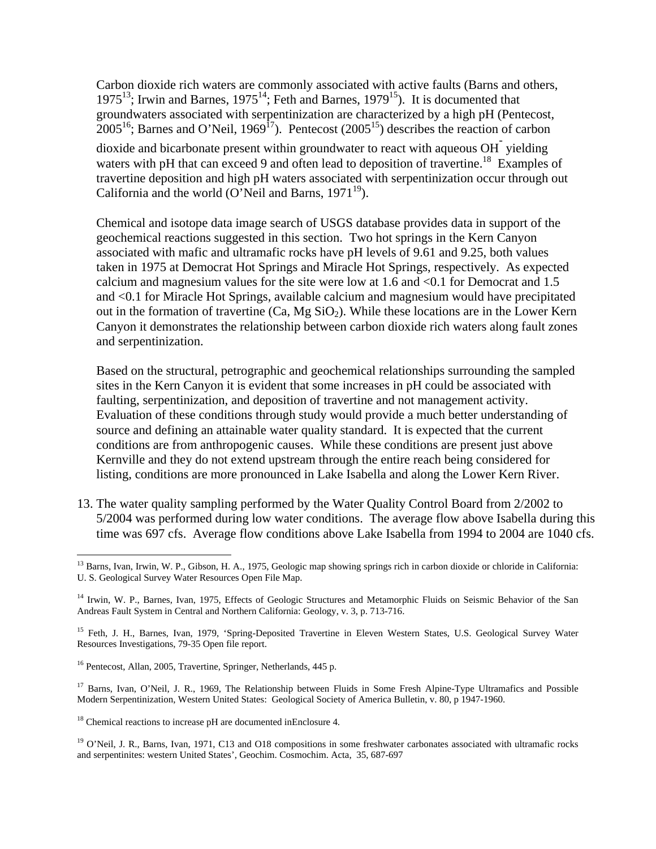Carbon dioxide rich waters are commonly associated with active faults (Barns and others, 1975<sup>13</sup>; Irwin and Barnes, 1975<sup>14</sup>; Feth and Barnes, 1979<sup>15</sup>). It is documented that groundwaters associated with serpentinization are characterized by a high pH (Pentecost,  $2005^{16}$ ; Barnes and O'Neil, 1969<sup>17</sup>). Pentecost (2005<sup>15</sup>) describes the reaction of carbon dioxide and bicarbonate present within groundwater to react with aqueous OH<sup>-</sup> yielding waters with pH that can exceed 9 and often lead to deposition of travertine.<sup>18</sup> Examples of travertine deposition and high pH waters associated with serpentinization occur through out California and the world (O'Neil and Barns,  $1971^{19}$ ).

Chemical and isotope data image search of USGS database provides data in support of the geochemical reactions suggested in this section. Two hot springs in the Kern Canyon associated with mafic and ultramafic rocks have pH levels of 9.61 and 9.25, both values taken in 1975 at Democrat Hot Springs and Miracle Hot Springs, respectively. As expected calcium and magnesium values for the site were low at 1.6 and <0.1 for Democrat and 1.5 and <0.1 for Miracle Hot Springs, available calcium and magnesium would have precipitated out in the formation of travertine  $(Ca, Mg SiO<sub>2</sub>)$ . While these locations are in the Lower Kern Canyon it demonstrates the relationship between carbon dioxide rich waters along fault zones and serpentinization.

Based on the structural, petrographic and geochemical relationships surrounding the sampled sites in the Kern Canyon it is evident that some increases in pH could be associated with faulting, serpentinization, and deposition of travertine and not management activity. Evaluation of these conditions through study would provide a much better understanding of source and defining an attainable water quality standard. It is expected that the current conditions are from anthropogenic causes. While these conditions are present just above Kernville and they do not extend upstream through the entire reach being considered for listing, conditions are more pronounced in Lake Isabella and along the Lower Kern River.

13. The water quality sampling performed by the Water Quality Control Board from 2/2002 to 5/2004 was performed during low water conditions. The average flow above Isabella during this time was 697 cfs. Average flow conditions above Lake Isabella from 1994 to 2004 are 1040 cfs.

<sup>1</sup> <sup>13</sup> Barns, Ivan, Irwin, W. P., Gibson, H. A., 1975, Geologic map showing springs rich in carbon dioxide or chloride in California: U. S. Geological Survey Water Resources Open File Map.

<sup>&</sup>lt;sup>14</sup> Irwin, W. P., Barnes, Ivan, 1975, Effects of Geologic Structures and Metamorphic Fluids on Seismic Behavior of the San Andreas Fault System in Central and Northern California: Geology, v. 3, p. 713-716.

<sup>&</sup>lt;sup>15</sup> Feth, J. H., Barnes, Ivan, 1979, 'Spring-Deposited Travertine in Eleven Western States, U.S. Geological Survey Water Resources Investigations, 79-35 Open file report.

<sup>16</sup> Pentecost, Allan, 2005, Travertine, Springer, Netherlands, 445 p.

<sup>&</sup>lt;sup>17</sup> Barns, Ivan, O'Neil, J. R., 1969, The Relationship between Fluids in Some Fresh Alpine-Type Ultramafics and Possible Modern Serpentinization, Western United States: Geological Society of America Bulletin, v. 80, p 1947-1960.

 $18$  Chemical reactions to increase pH are documented inEnclosure 4.

<sup>&</sup>lt;sup>19</sup> O'Neil, J. R., Barns, Ivan, 1971, C13 and O18 compositions in some freshwater carbonates associated with ultramafic rocks and serpentinites: western United States', Geochim. Cosmochim. Acta, 35, 687-697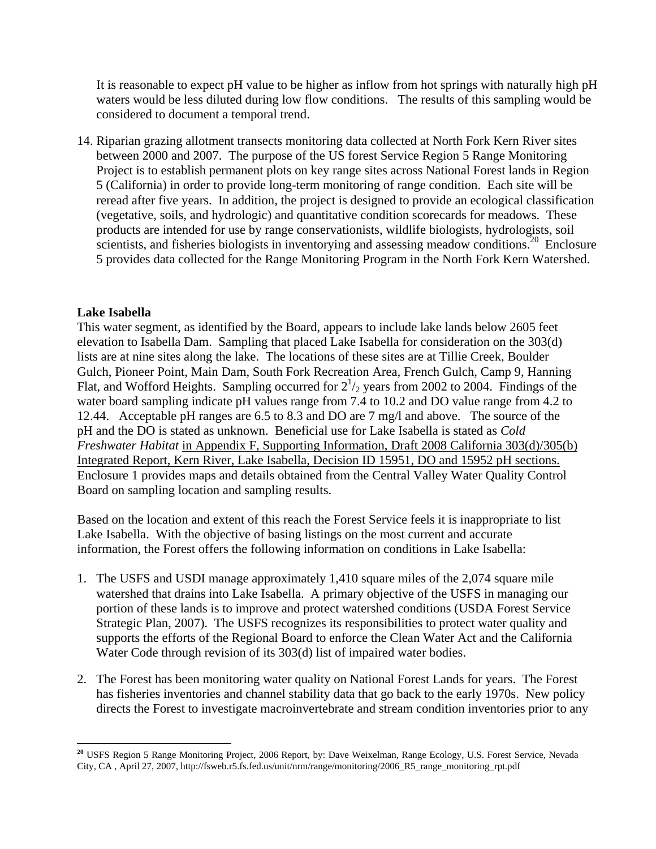It is reasonable to expect pH value to be higher as inflow from hot springs with naturally high pH waters would be less diluted during low flow conditions. The results of this sampling would be considered to document a temporal trend.

14. Riparian grazing allotment transects monitoring data collected at North Fork Kern River sites between 2000 and 2007. The purpose of the US forest Service Region 5 Range Monitoring Project is to establish permanent plots on key range sites across National Forest lands in Region 5 (California) in order to provide long-term monitoring of range condition. Each site will be reread after five years. In addition, the project is designed to provide an ecological classification (vegetative, soils, and hydrologic) and quantitative condition scorecards for meadows. These products are intended for use by range conservationists, wildlife biologists, hydrologists, soil scientists, and fisheries biologists in inventorying and assessing meadow conditions.<sup>20</sup> Enclosure 5 provides data collected for the Range Monitoring Program in the North Fork Kern Watershed.

## **Lake Isabella**

 $\overline{a}$ 

This water segment, as identified by the Board, appears to include lake lands below 2605 feet elevation to Isabella Dam. Sampling that placed Lake Isabella for consideration on the 303(d) lists are at nine sites along the lake. The locations of these sites are at Tillie Creek, Boulder Gulch, Pioneer Point, Main Dam, South Fork Recreation Area, French Gulch, Camp 9, Hanning Flat, and Wofford Heights. Sampling occurred for  $2^{1/2}$  years from 2002 to 2004. Findings of the water board sampling indicate pH values range from 7.4 to 10.2 and DO value range from 4.2 to 12.44. Acceptable pH ranges are 6.5 to 8.3 and DO are 7 mg/l and above. The source of the pH and the DO is stated as unknown. Beneficial use for Lake Isabella is stated as *Cold Freshwater Habitat* in Appendix F, Supporting Information, Draft 2008 California 303(d)/305(b) Integrated Report, Kern River, Lake Isabella, Decision ID 15951, DO and 15952 pH sections. Enclosure 1 provides maps and details obtained from the Central Valley Water Quality Control Board on sampling location and sampling results.

Based on the location and extent of this reach the Forest Service feels it is inappropriate to list Lake Isabella. With the objective of basing listings on the most current and accurate information, the Forest offers the following information on conditions in Lake Isabella:

- 1. The USFS and USDI manage approximately 1,410 square miles of the 2,074 square mile watershed that drains into Lake Isabella. A primary objective of the USFS in managing our portion of these lands is to improve and protect watershed conditions (USDA Forest Service Strategic Plan, 2007). The USFS recognizes its responsibilities to protect water quality and supports the efforts of the Regional Board to enforce the Clean Water Act and the California Water Code through revision of its 303(d) list of impaired water bodies.
- 2. The Forest has been monitoring water quality on National Forest Lands for years. The Forest has fisheries inventories and channel stability data that go back to the early 1970s. New policy directs the Forest to investigate macroinvertebrate and stream condition inventories prior to any

**<sup>20</sup>** USFS Region 5 Range Monitoring Project, 2006 Report, by: Dave Weixelman, Range Ecology, U.S. Forest Service, Nevada City, CA , April 27, 2007, http://fsweb.r5.fs.fed.us/unit/nrm/range/monitoring/2006\_R5\_range\_monitoring\_rpt.pdf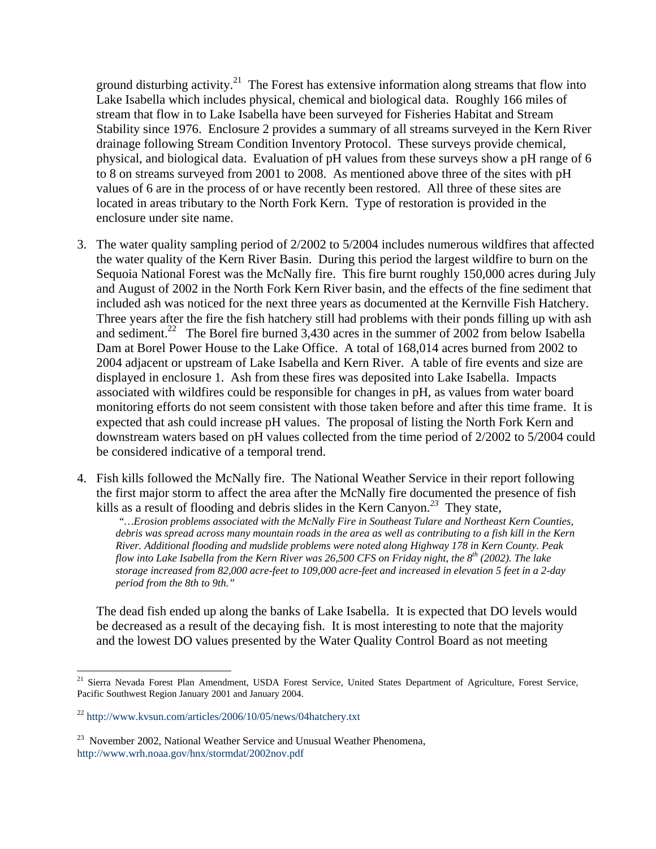ground disturbing activity.<sup>21</sup> The Forest has extensive information along streams that flow into Lake Isabella which includes physical, chemical and biological data. Roughly 166 miles of stream that flow in to Lake Isabella have been surveyed for Fisheries Habitat and Stream Stability since 1976. Enclosure 2 provides a summary of all streams surveyed in the Kern River drainage following Stream Condition Inventory Protocol. These surveys provide chemical, physical, and biological data. Evaluation of pH values from these surveys show a pH range of 6 to 8 on streams surveyed from 2001 to 2008. As mentioned above three of the sites with pH values of 6 are in the process of or have recently been restored. All three of these sites are located in areas tributary to the North Fork Kern. Type of restoration is provided in the enclosure under site name.

- 3. The water quality sampling period of 2/2002 to 5/2004 includes numerous wildfires that affected the water quality of the Kern River Basin. During this period the largest wildfire to burn on the Sequoia National Forest was the McNally fire. This fire burnt roughly 150,000 acres during July and August of 2002 in the North Fork Kern River basin, and the effects of the fine sediment that included ash was noticed for the next three years as documented at the Kernville Fish Hatchery. Three years after the fire the fish hatchery still had problems with their ponds filling up with ash and sediment.<sup>22</sup> The Borel fire burned 3,430 acres in the summer of 2002 from below Isabella Dam at Borel Power House to the Lake Office. A total of 168,014 acres burned from 2002 to 2004 adjacent or upstream of Lake Isabella and Kern River. A table of fire events and size are displayed in enclosure 1. Ash from these fires was deposited into Lake Isabella. Impacts associated with wildfires could be responsible for changes in pH, as values from water board monitoring efforts do not seem consistent with those taken before and after this time frame. It is expected that ash could increase pH values. The proposal of listing the North Fork Kern and downstream waters based on pH values collected from the time period of 2/2002 to 5/2004 could be considered indicative of a temporal trend.
- 4. Fish kills followed the McNally fire. The National Weather Service in their report following the first major storm to affect the area after the McNally fire documented the presence of fish kills as a result of flooding and debris slides in the Kern Canyon.<sup>23</sup> They state,<br>"*…Erosion problems associated with the McNally Fire in Southeast Tulare and Northeast Kern Counties*,

*debris was spread across many mountain roads in the area as well as contributing to a fish kill in the Kern River. Additional flooding and mudslide problems were noted along Highway 178 in Kern County. Peak flow into Lake Isabella from the Kern River was 26,500 CFS on Friday night, the 8<sup>th</sup> (2002). The lake storage increased from 82,000 acre-feet to 109,000 acre-feet and increased in elevation 5 feet in a 2-day period from the 8th to 9th."*

The dead fish ended up along the banks of Lake Isabella. It is expected that DO levels would be decreased as a result of the decaying fish. It is most interesting to note that the majority and the lowest DO values presented by the Water Quality Control Board as not meeting

1

<sup>&</sup>lt;sup>21</sup> Sierra Nevada Forest Plan Amendment, USDA Forest Service, United States Department of Agriculture, Forest Service, Pacific Southwest Region January 2001 and January 2004.

<sup>22</sup> http://www.kvsun.com/articles/2006/10/05/news/04hatchery.txt

<sup>&</sup>lt;sup>23</sup> November 2002, National Weather Service and Unusual Weather Phenomena, http://www.wrh.noaa.gov/hnx/stormdat/2002nov.pdf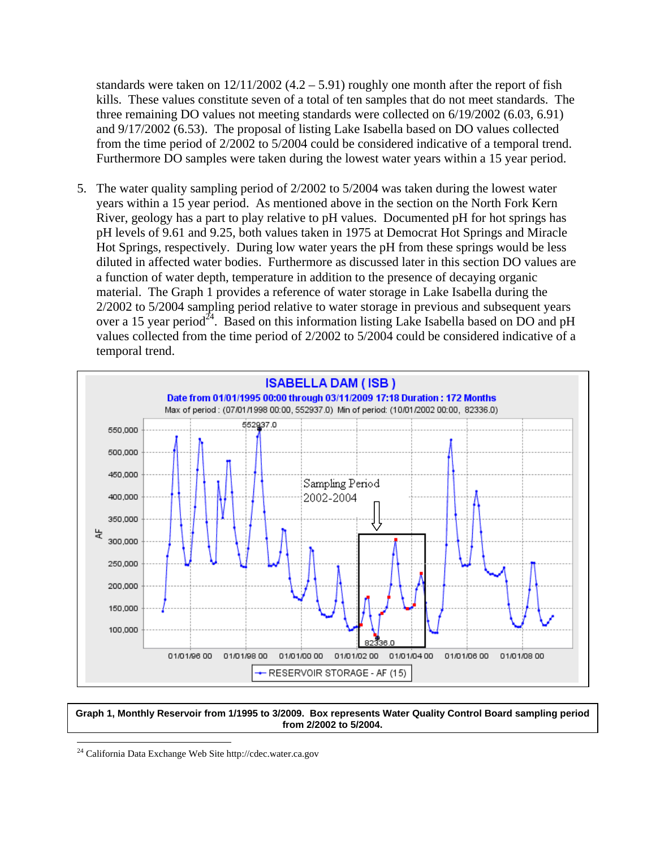standards were taken on  $12/11/2002$  (4.2 – 5.91) roughly one month after the report of fish kills. These values constitute seven of a total of ten samples that do not meet standards. The three remaining DO values not meeting standards were collected on 6/19/2002 (6.03, 6.91) and 9/17/2002 (6.53). The proposal of listing Lake Isabella based on DO values collected from the time period of 2/2002 to 5/2004 could be considered indicative of a temporal trend. Furthermore DO samples were taken during the lowest water years within a 15 year period.

5. The water quality sampling period of 2/2002 to 5/2004 was taken during the lowest water years within a 15 year period. As mentioned above in the section on the North Fork Kern River, geology has a part to play relative to pH values. Documented pH for hot springs has pH levels of 9.61 and 9.25, both values taken in 1975 at Democrat Hot Springs and Miracle Hot Springs, respectively. During low water years the pH from these springs would be less diluted in affected water bodies. Furthermore as discussed later in this section DO values are a function of water depth, temperature in addition to the presence of decaying organic material. The Graph 1 provides a reference of water storage in Lake Isabella during the 2/2002 to 5/2004 sampling period relative to water storage in previous and subsequent years over a 15 year period<sup>24</sup>. Based on this information listing Lake Isabella based on DO and pH values collected from the time period of 2/2002 to 5/2004 could be considered indicative of a temporal trend.



#### **Graph 1, Monthly Reservoir from 1/1995 to 3/2009. Box represents Water Quality Control Board sampling period from 2/2002 to 5/2004.**

 $24$  California Data Exchange Web Site http://cdec.water.ca.gov

 $\overline{a}$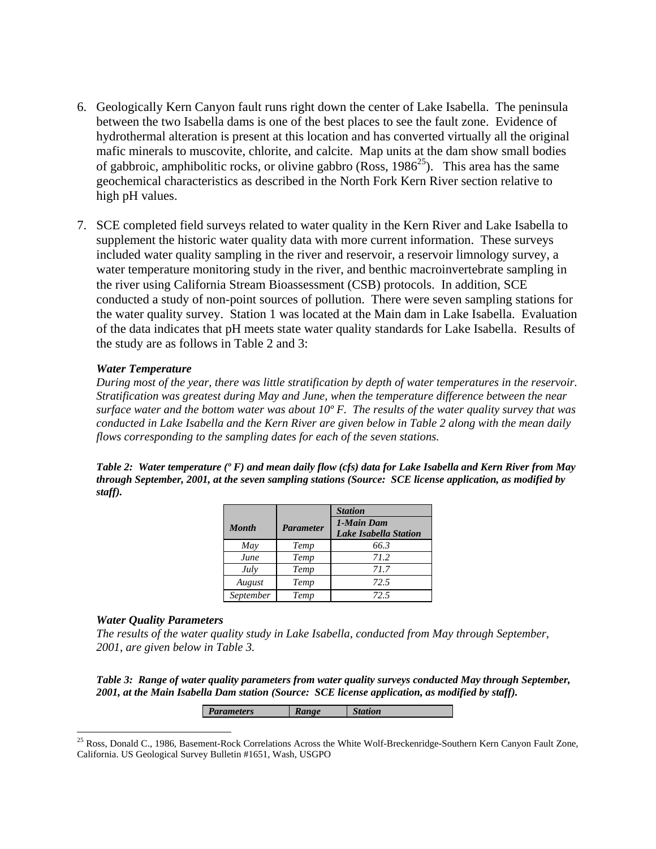- 6. Geologically Kern Canyon fault runs right down the center of Lake Isabella. The peninsula between the two Isabella dams is one of the best places to see the fault zone. Evidence of hydrothermal alteration is present at this location and has converted virtually all the original mafic minerals to muscovite, chlorite, and calcite. Map units at the dam show small bodies of gabbroic, amphibolitic rocks, or olivine gabbro (Ross,  $1986^{25}$ ). This area has the same geochemical characteristics as described in the North Fork Kern River section relative to high pH values.
- 7. SCE completed field surveys related to water quality in the Kern River and Lake Isabella to supplement the historic water quality data with more current information. These surveys included water quality sampling in the river and reservoir, a reservoir limnology survey, a water temperature monitoring study in the river, and benthic macroinvertebrate sampling in the river using California Stream Bioassessment (CSB) protocols. In addition, SCE conducted a study of non-point sources of pollution. There were seven sampling stations for the water quality survey. Station 1 was located at the Main dam in Lake Isabella. Evaluation of the data indicates that pH meets state water quality standards for Lake Isabella. Results of the study are as follows in Table 2 and 3:

## *Water Temperature*

*During most of the year, there was little stratification by depth of water temperatures in the reservoir. Stratification was greatest during May and June, when the temperature difference between the near surface water and the bottom water was about 10º F. The results of the water quality survey that was conducted in Lake Isabella and the Kern River are given below in Table 2 along with the mean daily flows corresponding to the sampling dates for each of the seven stations.* 

*Table 2: Water temperature (º F) and mean daily flow (cfs) data for Lake Isabella and Kern River from May through September, 2001, at the seven sampling stations (Source: SCE license application, as modified by staff).* 

|              |                  | <b>Station</b>                             |
|--------------|------------------|--------------------------------------------|
| <b>Month</b> | <b>Parameter</b> | 1-Main Dam<br><b>Lake Isabella Station</b> |
|              |                  |                                            |
| May          | Temp             | 66.3                                       |
| June         | Temp             | 71.2                                       |
| July         | Temp             | 71.7                                       |
| August       | Temp             | 72.5                                       |
| September    | Temp             | 72.5                                       |

#### *Water Quality Parameters*

 $\overline{a}$ 

*The results of the water quality study in Lake Isabella, conducted from May through September, 2001, are given below in Table 3.* 

*Table 3: Range of water quality parameters from water quality surveys conducted May through September, 2001, at the Main Isabella Dam station (Source: SCE license application, as modified by staff).* 

*Parameters* Range Station

<sup>&</sup>lt;sup>25</sup> Ross, Donald C., 1986, Basement-Rock Correlations Across the White Wolf-Breckenridge-Southern Kern Canyon Fault Zone, California. US Geological Survey Bulletin #1651, Wash, USGPO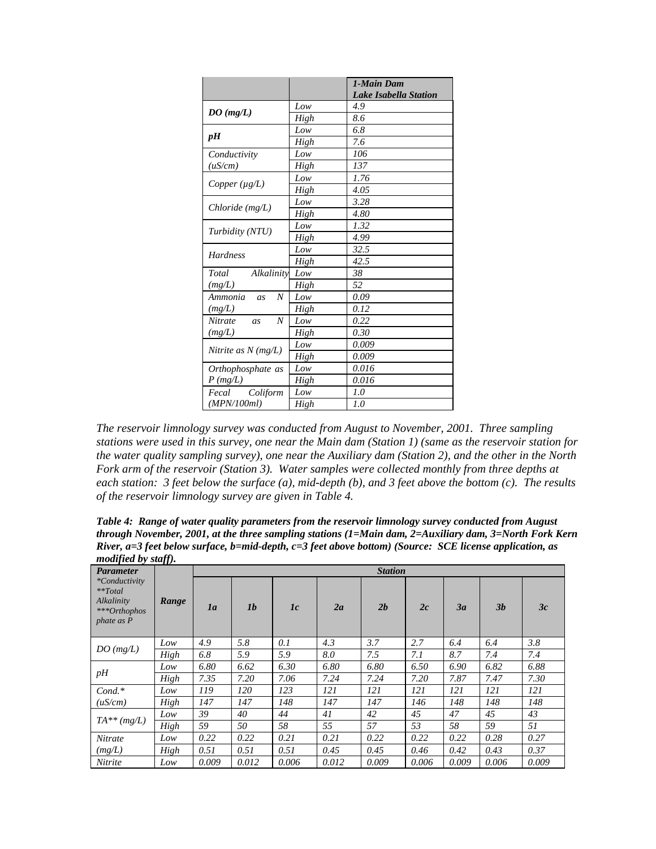|                                   |      | 1-Main Dam<br><b>Lake Isabella Station</b> |
|-----------------------------------|------|--------------------------------------------|
|                                   | Low  | 4.9                                        |
| DO(mg/L)                          | High | 8.6                                        |
|                                   | Low  | 6.8                                        |
| pH                                | High | 7.6                                        |
| Conductivity                      | Low  | 106                                        |
| (uS/cm)                           | High | 137                                        |
| Copper $(\mu g/L)$                | Low  | 1.76                                       |
|                                   | High | 4.05                                       |
| $Chloride$ (mg/L)                 | Low  | 3.28                                       |
|                                   | High | 4.80                                       |
|                                   | Low  | 1.32                                       |
| Turbidity (NTU)                   | High | 4.99                                       |
| <b>Hardness</b>                   | Low  | 32.5                                       |
|                                   | High | 42.5                                       |
| Total<br>Alkalinity               | Low  | 38                                         |
| (mg/L)                            | High | 52                                         |
| Ammonia<br>$\boldsymbol{N}$<br>as | Low  | 0.09                                       |
| (mg/L)                            | High | 0.12                                       |
| N<br><b>Nitrate</b><br>as         | Low  | 0.22                                       |
| (mg/L)                            | High | 0.30                                       |
| Nitrite as $N$ (mg/L)             | Low  | 0.009                                      |
|                                   | High | 0.009                                      |
| Orthophosphate as                 | Low  | 0.016                                      |
| P(mg/L)                           | High | 0.016                                      |
| Coliform<br>Fecal                 | Low  | 1.0                                        |
| (MPN/100ml)                       | High | 1.0                                        |

*The reservoir limnology survey was conducted from August to November, 2001. Three sampling stations were used in this survey, one near the Main dam (Station 1) (same as the reservoir station for the water quality sampling survey), one near the Auxiliary dam (Station 2), and the other in the North Fork arm of the reservoir (Station 3). Water samples were collected monthly from three depths at each station: 3 feet below the surface (a), mid-depth (b), and 3 feet above the bottom (c). The results of the reservoir limnology survey are given in Table 4.* 

*Table 4: Range of water quality parameters from the reservoir limnology survey conducted from August through November, 2001, at the three sampling stations (1=Main dam, 2=Auxiliary dam, 3=North Fork Kern River, a=3 feet below surface, b=mid-depth, c=3 feet above bottom) (Source: SCE license application, as modified by staff).* 

| <i>mourfied by stuff</i> .<br><b>Parameter</b>                             |       |       | <b>Station</b> |       |       |       |       |       |                |       |
|----------------------------------------------------------------------------|-------|-------|----------------|-------|-------|-------|-------|-------|----------------|-------|
| *Conductivity<br>$**Total$<br>Alkalinity<br>***Orthophos<br>$phate$ as $P$ | Range | 1a    | 1 <sub>b</sub> | 1c    | 2a    | 2b    | 2c    | 3a    | 3 <sub>b</sub> | 3c    |
| DO(mg/L)                                                                   | Low   | 4.9   | 5.8            | 0.1   | 4.3   | 3.7   | 2.7   | 6.4   | 6.4            | 3.8   |
|                                                                            | High  | 6.8   | 5.9            | 5.9   | 8.0   | 7.5   | 7.1   | 8.7   | 7.4            | 7.4   |
|                                                                            | Low   | 6.80  | 6.62           | 6.30  | 6.80  | 6.80  | 6.50  | 6.90  | 6.82           | 6.88  |
| pH                                                                         | High  | 7.35  | 7.20           | 7.06  | 7.24  | 7.24  | 7.20  | 7.87  | 7.47           | 7.30  |
| $Cond.*$                                                                   | Low   | 119   | 120            | 123   | 121   | 121   | 121   | 121   | 121            | 121   |
| (uS/cm)                                                                    | High  | 147   | 147            | 148   | 147   | 147   | 146   | 148   | 148            | 148   |
|                                                                            | Low   | 39    | 40             | 44    | 41    | 42    | 45    | 47    | 45             | 43    |
| $TA^{**}(mg/L)$                                                            | High  | 59    | 50             | 58    | 55    | 57    | 53    | 58    | 59             | 51    |
| <b>Nitrate</b>                                                             | Low   | 0.22  | 0.22           | 0.21  | 0.21  | 0.22  | 0.22  | 0.22  | 0.28           | 0.27  |
| (mg/L)                                                                     | High  | 0.51  | 0.51           | 0.51  | 0.45  | 0.45  | 0.46  | 0.42  | 0.43           | 0.37  |
| Nitrite                                                                    | Low   | 0.009 | 0.012          | 0.006 | 0.012 | 0.009 | 0.006 | 0.009 | 0.006          | 0.009 |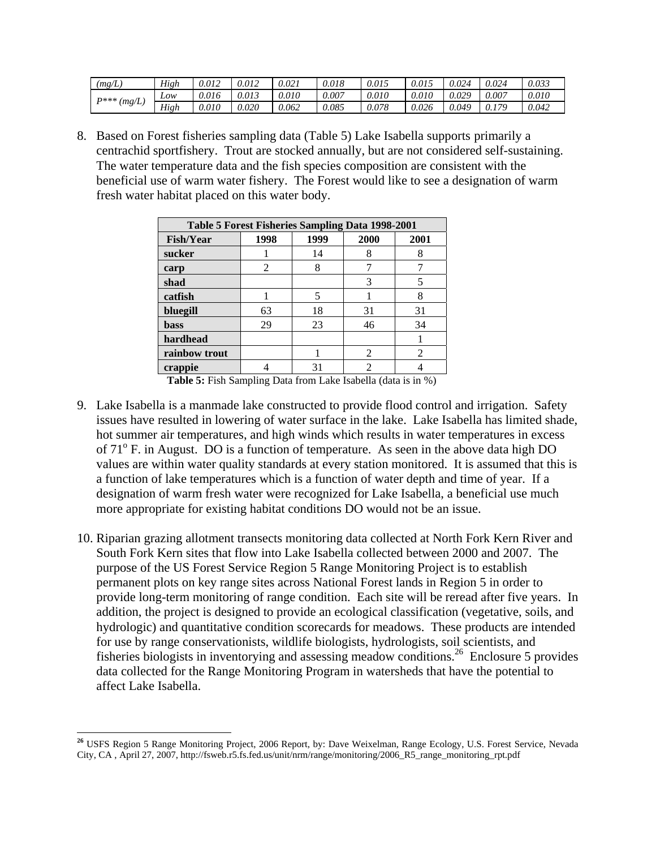| (mg/L)        | High | 9.012 | 0.012 | 0.021 | 0.018 | 0.015 | 0.015 | 0.024 | 0.024 | 0.033 |
|---------------|------|-------|-------|-------|-------|-------|-------|-------|-------|-------|
| <b>D***</b> / | Low  | 0.016 | 0.013 | 0.010 | 0.007 | 0.010 | 0.010 | 0.029 | 0.007 | 0.010 |
| (mg/L)        | High | 0.010 | 0.020 | 0.062 | 0.085 | 0.078 | 0.026 | 0.049 | 170   | 0.042 |

8. Based on Forest fisheries sampling data (Table 5) Lake Isabella supports primarily a centrachid sportfishery. Trout are stocked annually, but are not considered self-sustaining. The water temperature data and the fish species composition are consistent with the beneficial use of warm water fishery. The Forest would like to see a designation of warm fresh water habitat placed on this water body.

| Table 5 Forest Fisheries Sampling Data 1998-2001 |      |      |      |      |  |  |  |  |  |  |
|--------------------------------------------------|------|------|------|------|--|--|--|--|--|--|
| <b>Fish/Year</b>                                 | 1998 | 1999 | 2000 | 2001 |  |  |  |  |  |  |
| sucker                                           |      | 14   | 8    |      |  |  |  |  |  |  |
| carp                                             | 2    | 8    |      |      |  |  |  |  |  |  |
| shad                                             |      |      |      |      |  |  |  |  |  |  |
| catfish                                          |      | 5    |      | 8    |  |  |  |  |  |  |
| bluegill                                         | 63   | 18   | 31   | 31   |  |  |  |  |  |  |
| <b>bass</b>                                      | 29   | 23   | 46   | 34   |  |  |  |  |  |  |
| hardhead                                         |      |      |      |      |  |  |  |  |  |  |
| rainbow trout                                    |      |      |      | 2    |  |  |  |  |  |  |
| crappie                                          |      |      |      |      |  |  |  |  |  |  |

**Table 5:** Fish Sampling Data from Lake Isabella (data is in %)

- 9. Lake Isabella is a manmade lake constructed to provide flood control and irrigation. Safety issues have resulted in lowering of water surface in the lake. Lake Isabella has limited shade, hot summer air temperatures, and high winds which results in water temperatures in excess of 71<sup>o</sup> F. in August. DO is a function of temperature. As seen in the above data high DO values are within water quality standards at every station monitored. It is assumed that this is a function of lake temperatures which is a function of water depth and time of year. If a designation of warm fresh water were recognized for Lake Isabella, a beneficial use much more appropriate for existing habitat conditions DO would not be an issue.
- 10. Riparian grazing allotment transects monitoring data collected at North Fork Kern River and South Fork Kern sites that flow into Lake Isabella collected between 2000 and 2007. The purpose of the US Forest Service Region 5 Range Monitoring Project is to establish permanent plots on key range sites across National Forest lands in Region 5 in order to provide long-term monitoring of range condition. Each site will be reread after five years. In addition, the project is designed to provide an ecological classification (vegetative, soils, and hydrologic) and quantitative condition scorecards for meadows. These products are intended for use by range conservationists, wildlife biologists, hydrologists, soil scientists, and fisheries biologists in inventorying and assessing meadow conditions.26 Enclosure 5 provides data collected for the Range Monitoring Program in watersheds that have the potential to affect Lake Isabella.

 $\overline{a}$ 

**<sup>26</sup>** USFS Region 5 Range Monitoring Project, 2006 Report, by: Dave Weixelman, Range Ecology, U.S. Forest Service, Nevada City, CA , April 27, 2007, http://fsweb.r5.fs.fed.us/unit/nrm/range/monitoring/2006\_R5\_range\_monitoring\_rpt.pdf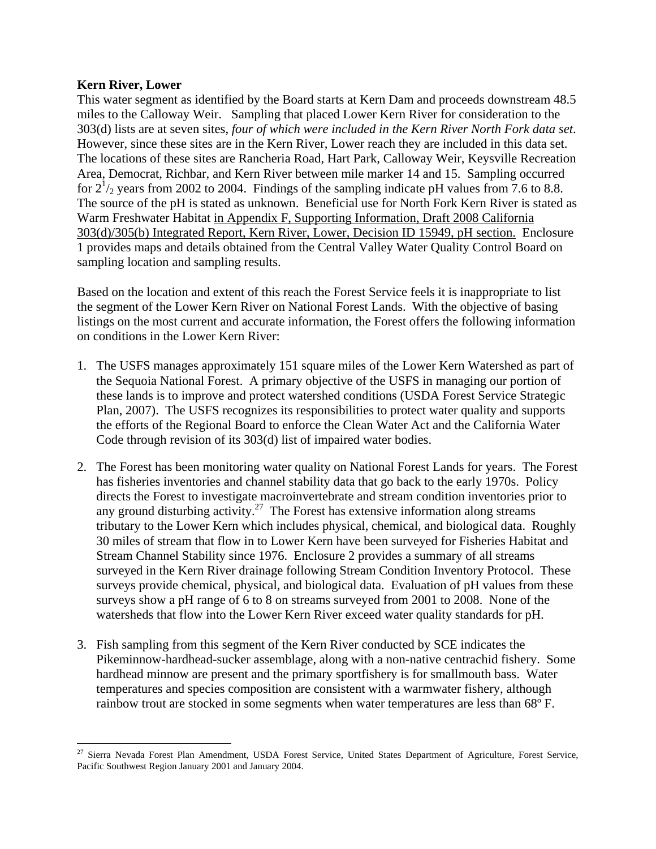## **Kern River, Lower**

This water segment as identified by the Board starts at Kern Dam and proceeds downstream 48.5 miles to the Calloway Weir. Sampling that placed Lower Kern River for consideration to the 303(d) lists are at seven sites, *four of which were included in the Kern River North Fork data set*. However, since these sites are in the Kern River, Lower reach they are included in this data set. The locations of these sites are Rancheria Road, Hart Park, Calloway Weir, Keysville Recreation Area, Democrat, Richbar, and Kern River between mile marker 14 and 15. Sampling occurred for  $2^{1/2}$  years from 2002 to 2004. Findings of the sampling indicate pH values from 7.6 to 8.8. The source of the pH is stated as unknown. Beneficial use for North Fork Kern River is stated as Warm Freshwater Habitat in Appendix F, Supporting Information, Draft 2008 California 303(d)/305(b) Integrated Report, Kern River, Lower, Decision ID 15949, pH section. Enclosure 1 provides maps and details obtained from the Central Valley Water Quality Control Board on sampling location and sampling results.

Based on the location and extent of this reach the Forest Service feels it is inappropriate to list the segment of the Lower Kern River on National Forest Lands. With the objective of basing listings on the most current and accurate information, the Forest offers the following information on conditions in the Lower Kern River:

- 1. The USFS manages approximately 151 square miles of the Lower Kern Watershed as part of the Sequoia National Forest. A primary objective of the USFS in managing our portion of these lands is to improve and protect watershed conditions (USDA Forest Service Strategic Plan, 2007). The USFS recognizes its responsibilities to protect water quality and supports the efforts of the Regional Board to enforce the Clean Water Act and the California Water Code through revision of its 303(d) list of impaired water bodies.
- 2. The Forest has been monitoring water quality on National Forest Lands for years. The Forest has fisheries inventories and channel stability data that go back to the early 1970s. Policy directs the Forest to investigate macroinvertebrate and stream condition inventories prior to any ground disturbing activity.<sup>27</sup> The Forest has extensive information along streams tributary to the Lower Kern which includes physical, chemical, and biological data. Roughly 30 miles of stream that flow in to Lower Kern have been surveyed for Fisheries Habitat and Stream Channel Stability since 1976. Enclosure 2 provides a summary of all streams surveyed in the Kern River drainage following Stream Condition Inventory Protocol. These surveys provide chemical, physical, and biological data. Evaluation of pH values from these surveys show a pH range of 6 to 8 on streams surveyed from 2001 to 2008. None of the watersheds that flow into the Lower Kern River exceed water quality standards for pH.
- 3. Fish sampling from this segment of the Kern River conducted by SCE indicates the Pikeminnow-hardhead-sucker assemblage, along with a non-native centrachid fishery. Some hardhead minnow are present and the primary sportfishery is for smallmouth bass. Water temperatures and species composition are consistent with a warmwater fishery, although rainbow trout are stocked in some segments when water temperatures are less than 68°F.

 $\overline{a}$ <sup>27</sup> Sierra Nevada Forest Plan Amendment, USDA Forest Service, United States Department of Agriculture, Forest Service, Pacific Southwest Region January 2001 and January 2004.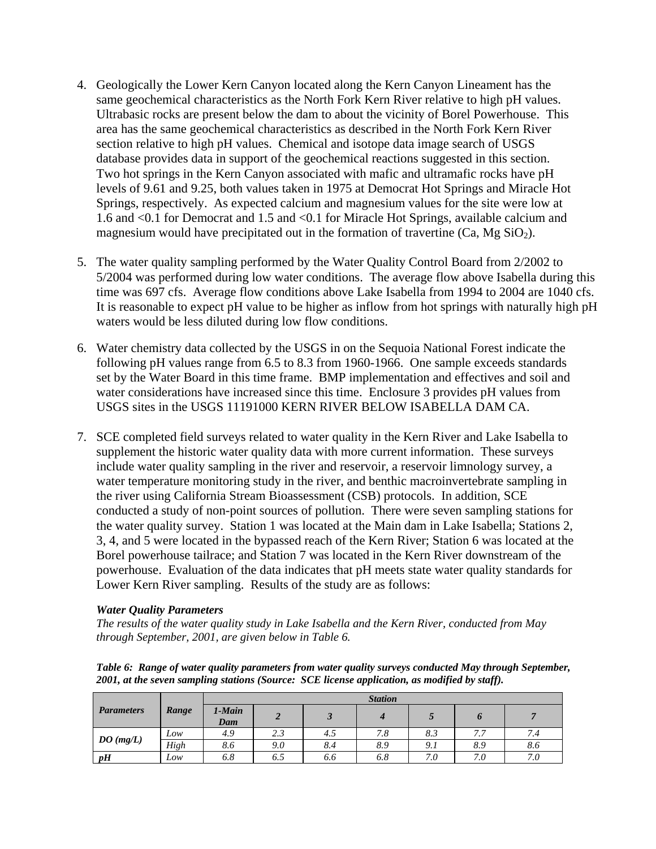- 4. Geologically the Lower Kern Canyon located along the Kern Canyon Lineament has the same geochemical characteristics as the North Fork Kern River relative to high pH values. Ultrabasic rocks are present below the dam to about the vicinity of Borel Powerhouse. This area has the same geochemical characteristics as described in the North Fork Kern River section relative to high pH values. Chemical and isotope data image search of USGS database provides data in support of the geochemical reactions suggested in this section. Two hot springs in the Kern Canyon associated with mafic and ultramafic rocks have pH levels of 9.61 and 9.25, both values taken in 1975 at Democrat Hot Springs and Miracle Hot Springs, respectively. As expected calcium and magnesium values for the site were low at 1.6 and <0.1 for Democrat and 1.5 and <0.1 for Miracle Hot Springs, available calcium and magnesium would have precipitated out in the formation of travertine  $(Ca, Mg SiO<sub>2</sub>)$ .
- 5. The water quality sampling performed by the Water Quality Control Board from 2/2002 to 5/2004 was performed during low water conditions. The average flow above Isabella during this time was 697 cfs. Average flow conditions above Lake Isabella from 1994 to 2004 are 1040 cfs. It is reasonable to expect pH value to be higher as inflow from hot springs with naturally high pH waters would be less diluted during low flow conditions.
- 6. Water chemistry data collected by the USGS in on the Sequoia National Forest indicate the following pH values range from 6.5 to 8.3 from 1960-1966. One sample exceeds standards set by the Water Board in this time frame. BMP implementation and effectives and soil and water considerations have increased since this time. Enclosure 3 provides pH values from USGS sites in the USGS 11191000 KERN RIVER BELOW ISABELLA DAM CA.
- 7. SCE completed field surveys related to water quality in the Kern River and Lake Isabella to supplement the historic water quality data with more current information. These surveys include water quality sampling in the river and reservoir, a reservoir limnology survey, a water temperature monitoring study in the river, and benthic macroinvertebrate sampling in the river using California Stream Bioassessment (CSB) protocols. In addition, SCE conducted a study of non-point sources of pollution. There were seven sampling stations for the water quality survey. Station 1 was located at the Main dam in Lake Isabella; Stations 2, 3, 4, and 5 were located in the bypassed reach of the Kern River; Station 6 was located at the Borel powerhouse tailrace; and Station 7 was located in the Kern River downstream of the powerhouse. Evaluation of the data indicates that pH meets state water quality standards for Lower Kern River sampling. Results of the study are as follows:

## *Water Quality Parameters*

*The results of the water quality study in Lake Isabella and the Kern River, conducted from May through September, 2001, are given below in Table 6.* 

*Table 6: Range of water quality parameters from water quality surveys conducted May through September, 2001, at the seven sampling stations (Source: SCE license application, as modified by staff).* 

|                   |       | <b>Station</b> |     |     |     |     |                                 |     |  |  |  |
|-------------------|-------|----------------|-----|-----|-----|-----|---------------------------------|-----|--|--|--|
| <b>Parameters</b> | Range | 1-Main<br>Dam  |     |     |     |     |                                 |     |  |  |  |
|                   | Low   | 4.9            | 2.3 | 4.5 | 7.8 | 8.3 | 77<br>$^{\prime}$ . $^{\prime}$ | 7.4 |  |  |  |
| DO(mg/L)          | High  | 8.6            | 9.0 | 8.4 | 8.9 | 9.1 | 8.9                             | 8.6 |  |  |  |
| pH                | Low   | 6.8            | 6.9 | 6.6 | 6.8 | 7.0 | 7.0                             | 7.0 |  |  |  |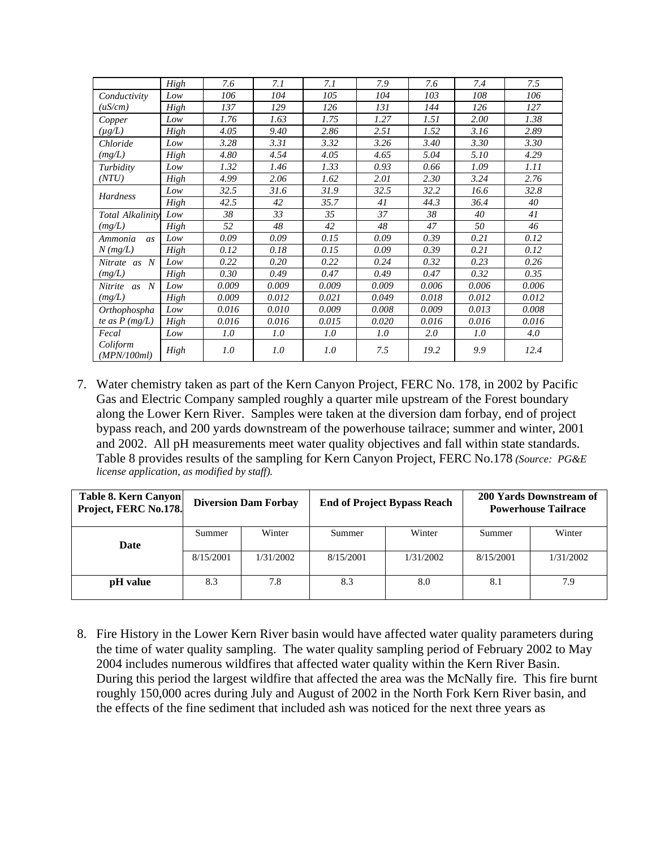|                                | High | 7.6   | 7.1   | 7.1   | 7.9   | 7.6   | 7.4   | 7.5   |
|--------------------------------|------|-------|-------|-------|-------|-------|-------|-------|
| Conductivity                   | Low  | 106   | 104   | 105   | 104   | 103   | 108   | 106   |
| (uS/cm)                        | High | 137   | 129   | 126   | 131   | 144   | 126   | 127   |
| Copper                         | Low  | 1.76  | 1.63  | 1.75  | 1.27  | 1.51  | 2.00  | 1.38  |
| (µg/L)                         | High | 4.05  | 9.40  | 2.86  | 2.51  | 1.52  | 3.16  | 2.89  |
| Chloride                       | Low  | 3.28  | 3.31  | 3.32  | 3.26  | 3.40  | 3.30  | 3.30  |
| (mg/L)                         | High | 4.80  | 4.54  | 4.05  | 4.65  | 5.04  | 5.10  | 4.29  |
| Turbidity                      | Low  | 1.32  | 1.46  | 1.33  | 0.93  | 0.66  | 1.09  | 1.11  |
| (NTU)                          | High | 4.99  | 2.06  | 1.62  | 2.01  | 2.30  | 3.24  | 2.76  |
|                                | Low  | 32.5  | 31.6  | 31.9  | 32.5  | 32.2  | 16.6  | 32.8  |
| Hardness                       | High | 42.5  | 42    | 35.7  | 41    | 44.3  | 36.4  | 40    |
| Total Alkalinity               | Low  | 38    | 33    | 35    | 37    | 38    | 40    | 41    |
| (mg/L)                         | High | 52    | 48    | 42    | 48    | 47    | 50    | 46    |
| Ammonia<br>as                  | Low  | 0.09  | 0.09  | 0.15  | 0.09  | 0.39  | 0.21  | 0.12  |
| $N$ (mg/L)                     | High | 0.12  | 0.18  | 0.15  | 0.09  | 0.39  | 0.21  | 0.12  |
| N<br>Nitrate as                | Low  | 0.22  | 0.20  | 0.22  | 0.24  | 0.32  | 0.23  | 0.26  |
| (mg/L)                         | High | 0.30  | 0.49  | 0.47  | 0.49  | 0.47  | 0.32  | 0.35  |
| $\boldsymbol{N}$<br>Nitrite as | Low  | 0.009 | 0.009 | 0.009 | 0.009 | 0.006 | 0.006 | 0.006 |
| (mg/L)                         | High | 0.009 | 0.012 | 0.021 | 0.049 | 0.018 | 0.012 | 0.012 |
| Orthophospha                   | Low  | 0.016 | 0.010 | 0.009 | 0.008 | 0.009 | 0.013 | 0.008 |
| te as $P$ (mg/L)               | High | 0.016 | 0.016 | 0.015 | 0.020 | 0.016 | 0.016 | 0.016 |
| Fecal                          | Low  | 1.0   | 1.0   | 1.0   | 1.0   | 2.0   | 1.0   | 4.0   |
| Coliform<br>(MPN/100ml)        | High | 1.0   | 1.0   | 1.0   | 7.5   | 19.2  | 9.9   | 12.4  |

7. Water chemistry taken as part of the Kern Canyon Project, FERC No. 178, in 2002 by Pacific Gas and Electric Company sampled roughly a quarter mile upstream of the Forest boundary along the Lower Kern River. Samples were taken at the diversion dam forbay, end of project bypass reach, and 200 yards downstream of the powerhouse tailrace; summer and winter, 2001 and 2002. All pH measurements meet water quality objectives and fall within state standards. Table 8 provides results of the sampling for Kern Canyon Project, FERC No.178 *(Source: PG&E license application, as modified by staff).*

| <b>Table 8. Kern Canyon</b><br>Project, FERC No.178. |           | <b>Diversion Dam Forbay</b> |           | <b>End of Project Bypass Reach</b> | 200 Yards Downstream of<br><b>Powerhouse Tailrace</b> |           |
|------------------------------------------------------|-----------|-----------------------------|-----------|------------------------------------|-------------------------------------------------------|-----------|
| Date                                                 | Summer    | Winter                      | Summer    | Winter                             | Summer                                                | Winter    |
|                                                      | 8/15/2001 | 1/31/2002                   | 8/15/2001 | 1/31/2002                          | 8/15/2001                                             | 1/31/2002 |
| pH value                                             | 8.3       | 7.8                         | 8.3       | 8.0                                | 8.1                                                   | 7.9       |

8. Fire History in the Lower Kern River basin would have affected water quality parameters during the time of water quality sampling. The water quality sampling period of February 2002 to May 2004 includes numerous wildfires that affected water quality within the Kern River Basin. During this period the largest wildfire that affected the area was the McNally fire. This fire burnt roughly 150,000 acres during July and August of 2002 in the North Fork Kern River basin, and the effects of the fine sediment that included ash was noticed for the next three years as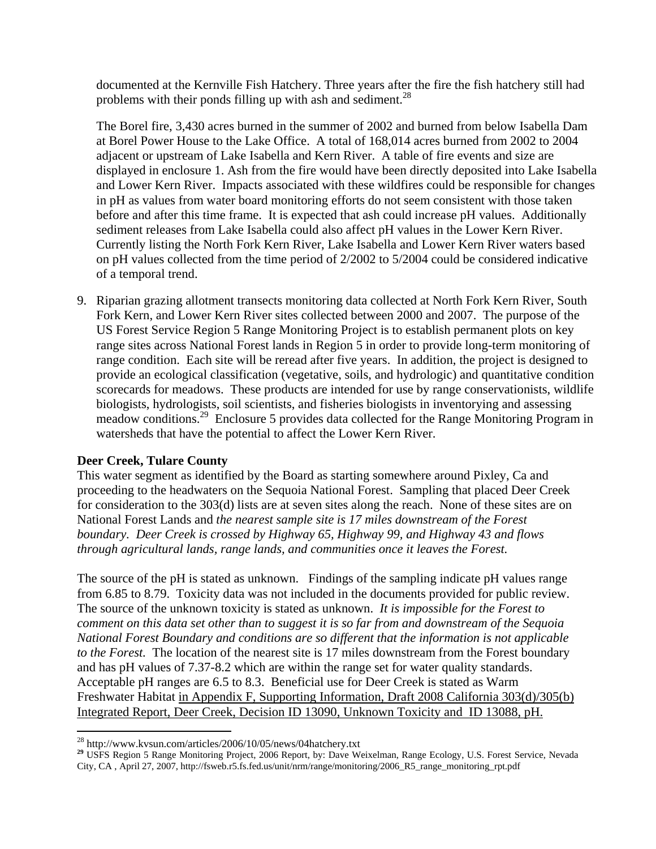documented at the Kernville Fish Hatchery. Three years after the fire the fish hatchery still had problems with their ponds filling up with ash and sediment.<sup>28</sup>

The Borel fire, 3,430 acres burned in the summer of 2002 and burned from below Isabella Dam at Borel Power House to the Lake Office. A total of 168,014 acres burned from 2002 to 2004 adjacent or upstream of Lake Isabella and Kern River. A table of fire events and size are displayed in enclosure 1. Ash from the fire would have been directly deposited into Lake Isabella and Lower Kern River. Impacts associated with these wildfires could be responsible for changes in pH as values from water board monitoring efforts do not seem consistent with those taken before and after this time frame. It is expected that ash could increase pH values. Additionally sediment releases from Lake Isabella could also affect pH values in the Lower Kern River. Currently listing the North Fork Kern River, Lake Isabella and Lower Kern River waters based on pH values collected from the time period of 2/2002 to 5/2004 could be considered indicative of a temporal trend.

9. Riparian grazing allotment transects monitoring data collected at North Fork Kern River, South Fork Kern, and Lower Kern River sites collected between 2000 and 2007. The purpose of the US Forest Service Region 5 Range Monitoring Project is to establish permanent plots on key range sites across National Forest lands in Region 5 in order to provide long-term monitoring of range condition. Each site will be reread after five years. In addition, the project is designed to provide an ecological classification (vegetative, soils, and hydrologic) and quantitative condition scorecards for meadows. These products are intended for use by range conservationists, wildlife biologists, hydrologists, soil scientists, and fisheries biologists in inventorying and assessing meadow conditions.29 Enclosure 5 provides data collected for the Range Monitoring Program in watersheds that have the potential to affect the Lower Kern River.

## **Deer Creek, Tulare County**

This water segment as identified by the Board as starting somewhere around Pixley, Ca and proceeding to the headwaters on the Sequoia National Forest. Sampling that placed Deer Creek for consideration to the 303(d) lists are at seven sites along the reach. None of these sites are on National Forest Lands and *the nearest sample site is 17 miles downstream of the Forest boundary. Deer Creek is crossed by Highway 65, Highway 99, and Highway 43 and flows through agricultural lands, range lands, and communities once it leaves the Forest.* 

The source of the pH is stated as unknown. Findings of the sampling indicate pH values range from 6.85 to 8.79. Toxicity data was not included in the documents provided for public review. The source of the unknown toxicity is stated as unknown. *It is impossible for the Forest to comment on this data set other than to suggest it is so far from and downstream of the Sequoia National Forest Boundary and conditions are so different that the information is not applicable to the Forest.* The location of the nearest site is 17 miles downstream from the Forest boundary and has pH values of 7.37-8.2 which are within the range set for water quality standards. Acceptable pH ranges are 6.5 to 8.3. Beneficial use for Deer Creek is stated as Warm Freshwater Habitat in Appendix F, Supporting Information, Draft 2008 California 303(d)/305(b) Integrated Report, Deer Creek, Decision ID 13090, Unknown Toxicity and ID 13088, pH.

<sup>1</sup> 

<sup>&</sup>lt;sup>28</sup> http://www.kvsun.com/articles/2006/10/05/news/04hatchery.txt<br><sup>29</sup> USFS Region 5 Range Monitoring Project, 2006 Report, by: Dave Weixelman, Range Ecology, U.S. Forest Service, Nevada City, CA , April 27, 2007, http://fsweb.r5.fs.fed.us/unit/nrm/range/monitoring/2006\_R5\_range\_monitoring\_rpt.pdf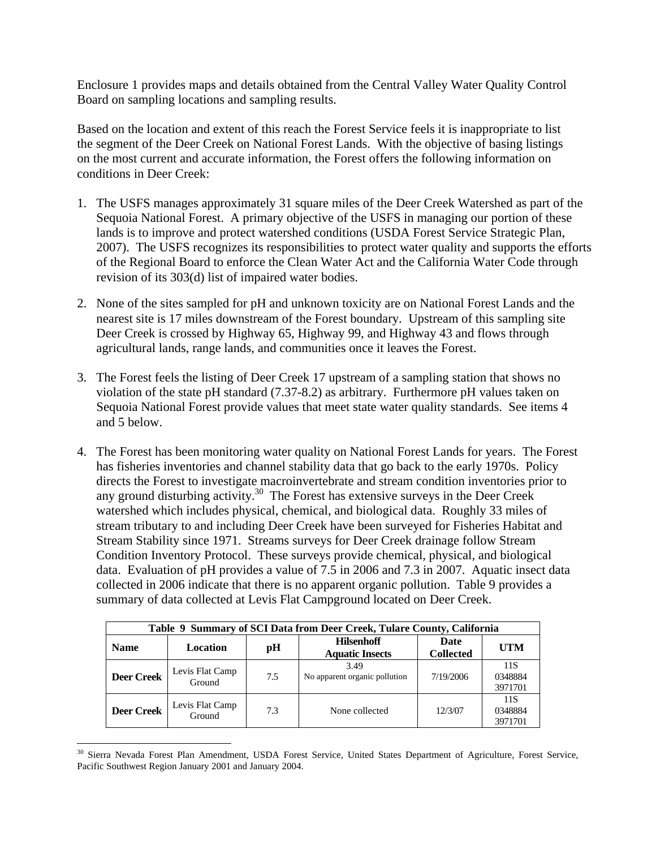Enclosure 1 provides maps and details obtained from the Central Valley Water Quality Control Board on sampling locations and sampling results.

Based on the location and extent of this reach the Forest Service feels it is inappropriate to list the segment of the Deer Creek on National Forest Lands. With the objective of basing listings on the most current and accurate information, the Forest offers the following information on conditions in Deer Creek:

- 1. The USFS manages approximately 31 square miles of the Deer Creek Watershed as part of the Sequoia National Forest. A primary objective of the USFS in managing our portion of these lands is to improve and protect watershed conditions (USDA Forest Service Strategic Plan, 2007). The USFS recognizes its responsibilities to protect water quality and supports the efforts of the Regional Board to enforce the Clean Water Act and the California Water Code through revision of its 303(d) list of impaired water bodies.
- 2. None of the sites sampled for pH and unknown toxicity are on National Forest Lands and the nearest site is 17 miles downstream of the Forest boundary. Upstream of this sampling site Deer Creek is crossed by Highway 65, Highway 99, and Highway 43 and flows through agricultural lands, range lands, and communities once it leaves the Forest.
- 3. The Forest feels the listing of Deer Creek 17 upstream of a sampling station that shows no violation of the state pH standard (7.37-8.2) as arbitrary. Furthermore pH values taken on Sequoia National Forest provide values that meet state water quality standards. See items 4 and 5 below.
- 4. The Forest has been monitoring water quality on National Forest Lands for years. The Forest has fisheries inventories and channel stability data that go back to the early 1970s. Policy directs the Forest to investigate macroinvertebrate and stream condition inventories prior to any ground disturbing activity.<sup>30</sup> The Forest has extensive surveys in the Deer Creek watershed which includes physical, chemical, and biological data. Roughly 33 miles of stream tributary to and including Deer Creek have been surveyed for Fisheries Habitat and Stream Stability since 1971. Streams surveys for Deer Creek drainage follow Stream Condition Inventory Protocol. These surveys provide chemical, physical, and biological data. Evaluation of pH provides a value of 7.5 in 2006 and 7.3 in 2007. Aquatic insect data collected in 2006 indicate that there is no apparent organic pollution. Table 9 provides a summary of data collected at Levis Flat Campground located on Deer Creek.

|                   | Table 9 Summary of SCI Data from Deer Creek, Tulare County, California |     |                                             |                          |                           |  |  |  |  |  |  |
|-------------------|------------------------------------------------------------------------|-----|---------------------------------------------|--------------------------|---------------------------|--|--|--|--|--|--|
| <b>Name</b>       | Location                                                               | pH  | <b>Hilsenhoff</b><br><b>Aquatic Insects</b> | Date<br><b>Collected</b> | <b>UTM</b>                |  |  |  |  |  |  |
| <b>Deer Creek</b> | Levis Flat Camp<br>Ground                                              | 7.5 | 3.49<br>No apparent organic pollution       | 7/19/2006                | 11S<br>0348884<br>3971701 |  |  |  |  |  |  |
| <b>Deer Creek</b> | Levis Flat Camp<br>Ground                                              | 7.3 | None collected                              | 12/3/07                  | 11S<br>0348884<br>3971701 |  |  |  |  |  |  |

 $\overline{a}$ <sup>30</sup> Sierra Nevada Forest Plan Amendment, USDA Forest Service, United States Department of Agriculture, Forest Service, Pacific Southwest Region January 2001 and January 2004.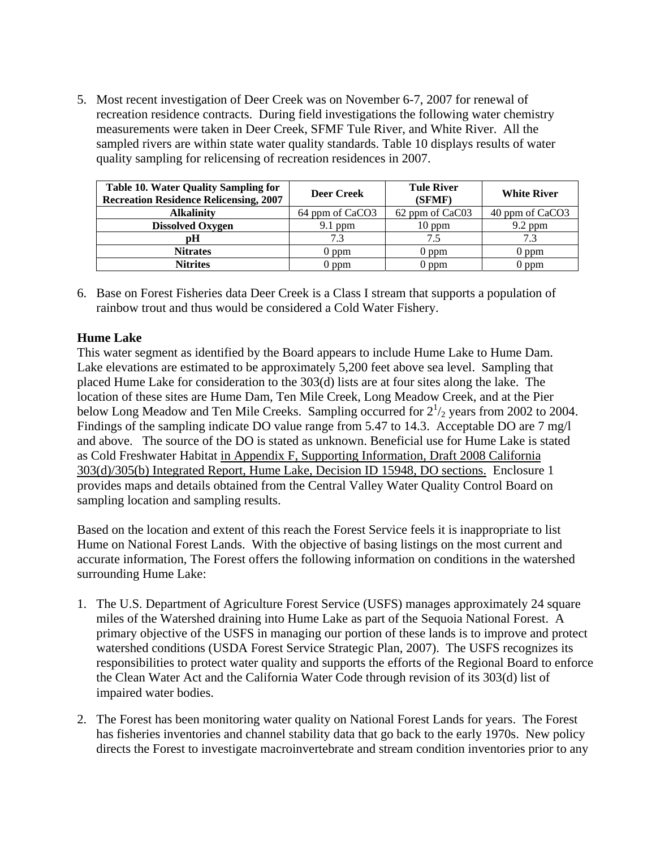5. Most recent investigation of Deer Creek was on November 6-7, 2007 for renewal of recreation residence contracts. During field investigations the following water chemistry measurements were taken in Deer Creek, SFMF Tule River, and White River. All the sampled rivers are within state water quality standards. Table 10 displays results of water quality sampling for relicensing of recreation residences in 2007.

| <b>Table 10. Water Quality Sampling for</b><br><b>Recreation Residence Relicensing, 2007</b> | <b>Deer Creek</b> | <b>Tule River</b><br>(SFMF) | <b>White River</b> |
|----------------------------------------------------------------------------------------------|-------------------|-----------------------------|--------------------|
| <b>Alkalinity</b>                                                                            | 64 ppm of CaCO3   | 62 ppm of CaC03             | 40 ppm of CaCO3    |
| <b>Dissolved Oxygen</b>                                                                      | $9.1$ ppm         | $10$ ppm                    | $9.2$ ppm          |
| рH                                                                                           |                   | 7.5                         |                    |
| <b>Nitrates</b>                                                                              | 0 ppm             | 0 ppm                       | $0$ ppm            |
| <b>Nitrites</b>                                                                              | $0$ ppm           | $0$ ppm                     | $0$ ppm            |

6. Base on Forest Fisheries data Deer Creek is a Class I stream that supports a population of rainbow trout and thus would be considered a Cold Water Fishery.

## **Hume Lake**

This water segment as identified by the Board appears to include Hume Lake to Hume Dam. Lake elevations are estimated to be approximately 5,200 feet above sea level. Sampling that placed Hume Lake for consideration to the 303(d) lists are at four sites along the lake. The location of these sites are Hume Dam, Ten Mile Creek, Long Meadow Creek, and at the Pier below Long Meadow and Ten Mile Creeks. Sampling occurred for  $2^{1/2}$  years from 2002 to 2004. Findings of the sampling indicate DO value range from 5.47 to 14.3. Acceptable DO are 7 mg/l and above. The source of the DO is stated as unknown. Beneficial use for Hume Lake is stated as Cold Freshwater Habitat in Appendix F, Supporting Information, Draft 2008 California 303(d)/305(b) Integrated Report, Hume Lake, Decision ID 15948, DO sections. Enclosure 1 provides maps and details obtained from the Central Valley Water Quality Control Board on sampling location and sampling results.

Based on the location and extent of this reach the Forest Service feels it is inappropriate to list Hume on National Forest Lands. With the objective of basing listings on the most current and accurate information, The Forest offers the following information on conditions in the watershed surrounding Hume Lake:

- 1. The U.S. Department of Agriculture Forest Service (USFS) manages approximately 24 square miles of the Watershed draining into Hume Lake as part of the Sequoia National Forest. A primary objective of the USFS in managing our portion of these lands is to improve and protect watershed conditions (USDA Forest Service Strategic Plan, 2007). The USFS recognizes its responsibilities to protect water quality and supports the efforts of the Regional Board to enforce the Clean Water Act and the California Water Code through revision of its 303(d) list of impaired water bodies.
- 2. The Forest has been monitoring water quality on National Forest Lands for years. The Forest has fisheries inventories and channel stability data that go back to the early 1970s. New policy directs the Forest to investigate macroinvertebrate and stream condition inventories prior to any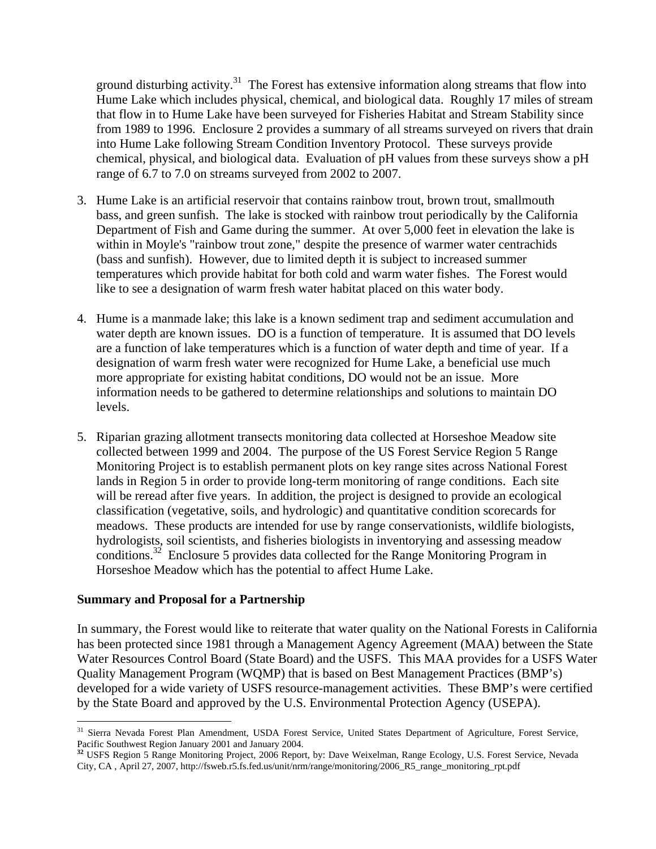ground disturbing activity. $31$  The Forest has extensive information along streams that flow into Hume Lake which includes physical, chemical, and biological data. Roughly 17 miles of stream that flow in to Hume Lake have been surveyed for Fisheries Habitat and Stream Stability since from 1989 to 1996. Enclosure 2 provides a summary of all streams surveyed on rivers that drain into Hume Lake following Stream Condition Inventory Protocol. These surveys provide chemical, physical, and biological data. Evaluation of pH values from these surveys show a pH range of 6.7 to 7.0 on streams surveyed from 2002 to 2007.

- 3. Hume Lake is an artificial reservoir that contains rainbow trout, brown trout, smallmouth bass, and green sunfish. The lake is stocked with rainbow trout periodically by the California Department of Fish and Game during the summer. At over 5,000 feet in elevation the lake is within in Moyle's "rainbow trout zone," despite the presence of warmer water centrachids (bass and sunfish). However, due to limited depth it is subject to increased summer temperatures which provide habitat for both cold and warm water fishes. The Forest would like to see a designation of warm fresh water habitat placed on this water body.
- 4. Hume is a manmade lake; this lake is a known sediment trap and sediment accumulation and water depth are known issues. DO is a function of temperature. It is assumed that DO levels are a function of lake temperatures which is a function of water depth and time of year. If a designation of warm fresh water were recognized for Hume Lake, a beneficial use much more appropriate for existing habitat conditions, DO would not be an issue. More information needs to be gathered to determine relationships and solutions to maintain DO levels.
- 5. Riparian grazing allotment transects monitoring data collected at Horseshoe Meadow site collected between 1999 and 2004. The purpose of the US Forest Service Region 5 Range Monitoring Project is to establish permanent plots on key range sites across National Forest lands in Region 5 in order to provide long-term monitoring of range conditions. Each site will be reread after five years. In addition, the project is designed to provide an ecological classification (vegetative, soils, and hydrologic) and quantitative condition scorecards for meadows. These products are intended for use by range conservationists, wildlife biologists, hydrologists, soil scientists, and fisheries biologists in inventorying and assessing meadow conditions.32 Enclosure 5 provides data collected for the Range Monitoring Program in Horseshoe Meadow which has the potential to affect Hume Lake.

## **Summary and Proposal for a Partnership**

 $\overline{a}$ 

In summary, the Forest would like to reiterate that water quality on the National Forests in California has been protected since 1981 through a Management Agency Agreement (MAA) between the State Water Resources Control Board (State Board) and the USFS. This MAA provides for a USFS Water Quality Management Program (WQMP) that is based on Best Management Practices (BMP's) developed for a wide variety of USFS resource-management activities. These BMP's were certified by the State Board and approved by the U.S. Environmental Protection Agency (USEPA).

<sup>&</sup>lt;sup>31</sup> Sierra Nevada Forest Plan Amendment, USDA Forest Service, United States Department of Agriculture, Forest Service, Pacific Southwest Region January 2001 and January 2004.<br><sup>32</sup> USFS Region 5 Range Monitoring Project, 2006 Report, by: Dave Weixelman, Range Ecology, U.S. Forest Service, Nevada

City, CA , April 27, 2007, http://fsweb.r5.fs.fed.us/unit/nrm/range/monitoring/2006\_R5\_range\_monitoring\_rpt.pdf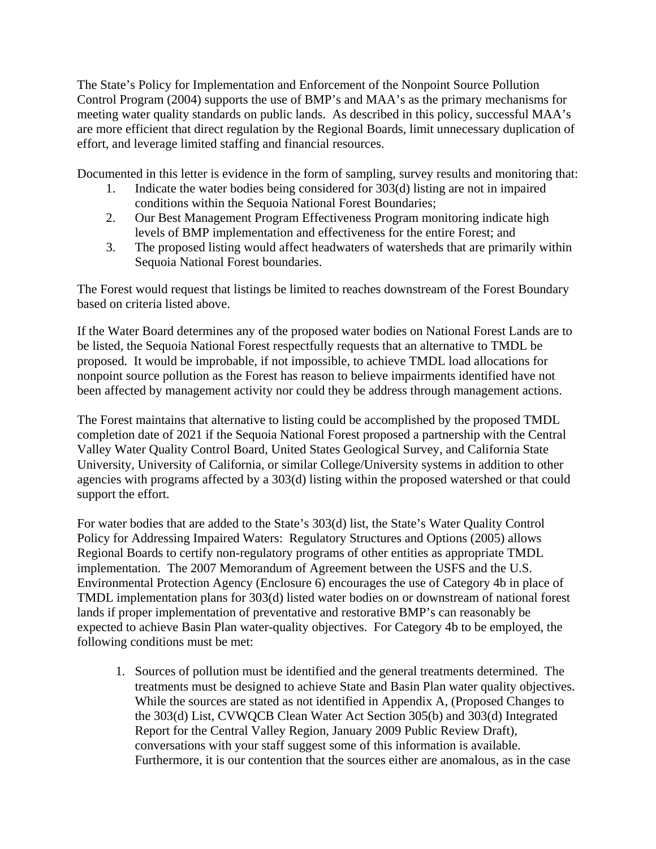The State's Policy for Implementation and Enforcement of the Nonpoint Source Pollution Control Program (2004) supports the use of BMP's and MAA's as the primary mechanisms for meeting water quality standards on public lands. As described in this policy, successful MAA's are more efficient that direct regulation by the Regional Boards, limit unnecessary duplication of effort, and leverage limited staffing and financial resources.

Documented in this letter is evidence in the form of sampling, survey results and monitoring that:

- 1. Indicate the water bodies being considered for 303(d) listing are not in impaired conditions within the Sequoia National Forest Boundaries;
- 2. Our Best Management Program Effectiveness Program monitoring indicate high levels of BMP implementation and effectiveness for the entire Forest; and
- 3. The proposed listing would affect headwaters of watersheds that are primarily within Sequoia National Forest boundaries.

The Forest would request that listings be limited to reaches downstream of the Forest Boundary based on criteria listed above.

If the Water Board determines any of the proposed water bodies on National Forest Lands are to be listed, the Sequoia National Forest respectfully requests that an alternative to TMDL be proposed. It would be improbable, if not impossible, to achieve TMDL load allocations for nonpoint source pollution as the Forest has reason to believe impairments identified have not been affected by management activity nor could they be address through management actions.

The Forest maintains that alternative to listing could be accomplished by the proposed TMDL completion date of 2021 if the Sequoia National Forest proposed a partnership with the Central Valley Water Quality Control Board, United States Geological Survey, and California State University, University of California, or similar College/University systems in addition to other agencies with programs affected by a 303(d) listing within the proposed watershed or that could support the effort.

For water bodies that are added to the State's 303(d) list, the State's Water Quality Control Policy for Addressing Impaired Waters: Regulatory Structures and Options (2005) allows Regional Boards to certify non-regulatory programs of other entities as appropriate TMDL implementation. The 2007 Memorandum of Agreement between the USFS and the U.S. Environmental Protection Agency (Enclosure 6) encourages the use of Category 4b in place of TMDL implementation plans for 303(d) listed water bodies on or downstream of national forest lands if proper implementation of preventative and restorative BMP's can reasonably be expected to achieve Basin Plan water-quality objectives. For Category 4b to be employed, the following conditions must be met:

1. Sources of pollution must be identified and the general treatments determined. The treatments must be designed to achieve State and Basin Plan water quality objectives. While the sources are stated as not identified in Appendix A, (Proposed Changes to the 303(d) List, CVWQCB Clean Water Act Section 305(b) and 303(d) Integrated Report for the Central Valley Region, January 2009 Public Review Draft), conversations with your staff suggest some of this information is available. Furthermore, it is our contention that the sources either are anomalous, as in the case